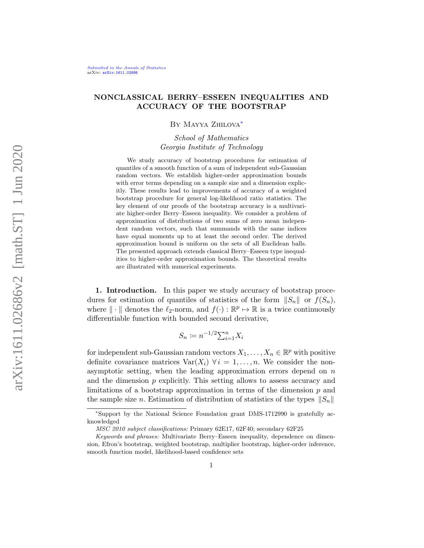# NONCLASSICAL BERRY–ESSEEN INEQUALITIES AND ACCURACY OF THE BOOTSTRAP

## By Mayya Zhilova[∗](#page-0-0)

School of Mathematics Georgia Institute of Technology

We study accuracy of bootstrap procedures for estimation of quantiles of a smooth function of a sum of independent sub-Gaussian random vectors. We establish higher-order approximation bounds with error terms depending on a sample size and a dimension explicitly. These results lead to improvements of accuracy of a weighted bootstrap procedure for general log-likelihood ratio statistics. The key element of our proofs of the bootstrap accuracy is a multivariate higher-order Berry–Esseen inequality. We consider a problem of approximation of distributions of two sums of zero mean independent random vectors, such that summands with the same indices have equal moments up to at least the second order. The derived approximation bound is uniform on the sets of all Euclidean balls. The presented approach extends classical Berry–Esseen type inequalities to higher-order approximation bounds. The theoretical results are illustrated with numerical experiments.

1. Introduction. In this paper we study accuracy of bootstrap procedures for estimation of quantiles of statistics of the form  $||S_n||$  or  $f(S_n)$ , where  $\|\cdot\|$  denotes the  $\ell_2$ -norm, and  $f(\cdot): \mathbb{R}^p \to \mathbb{R}$  is a twice continuously differentiable function with bounded second derivative,

$$
S_n \coloneqq n^{-1/2} \sum_{i=1}^n X_i
$$

for independent sub-Gaussian random vectors  $X_1, \ldots, X_n \in \mathbb{R}^p$  with positive definite covariance matrices  $\text{Var}(X_i)$   $\forall i = 1, ..., n$ . We consider the nonasymptotic setting, when the leading approximation errors depend on  $n$ and the dimension  $p$  explicitly. This setting allows to assess accuracy and limitations of a bootstrap approximation in terms of the dimension  $p$  and the sample size n. Estimation of distribution of statistics of the types  $||S_n||$ 

<span id="page-0-0"></span><sup>∗</sup>Support by the National Science Foundation grant DMS-1712990 is gratefully acknowledged

MSC 2010 subject classifications: Primary 62E17, 62F40; secondary 62F25

Keywords and phrases: Multivariate Berry–Esseen inequality, dependence on dimension, Efron's bootstrap, weighted bootstrap, multiplier bootstrap, higher-order inference, smooth function model, likelihood-based confidence sets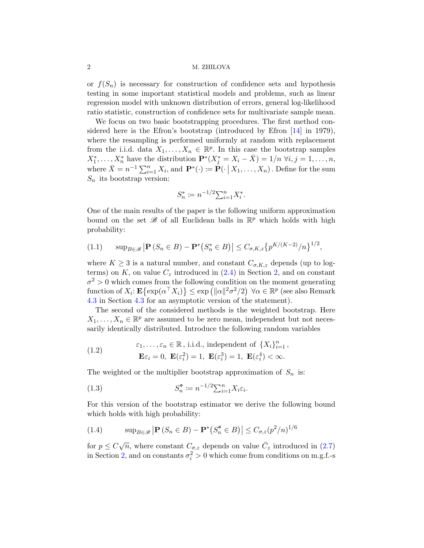or  $f(S_n)$  is necessary for construction of confidence sets and hypothesis testing in some important statistical models and problems, such as linear regression model with unknown distribution of errors, general log-likelihood ratio statistic, construction of confidence sets for multivariate sample mean.

We focus on two basic bootstrapping procedures. The first method considered here is the Efron's bootstrap (introduced by Efron [\[14\]](#page-22-0) in 1979), where the resampling is performed uniformly at random with replacement from the i.i.d. data  $X_1, \ldots, X_n \in \mathbb{R}^p$ . In this case the bootstrap samples  $X_1^*, \ldots, X_n^*$  have the distribution  $\mathbf{P}^*(X_j^* = X_i - \bar{X}) = 1/n$   $\forall i, j = 1, \ldots, n$ , where  $\bar{X} = n^{-1} \sum_{i=1}^{n} X_i$ , and  $\mathbf{P}^*(\cdot) \coloneqq \mathbf{P}(\cdot | X_1, \dots, X_n)$ . Define for the sum  $S_n$  its bootstrap version:

$$
S_n^* \coloneqq n^{-1/2} \sum_{i=1}^n X_i^*.
$$

One of the main results of the paper is the following uniform approximation bound on the set  $\mathscr B$  of all Euclidean balls in  $\mathbb R^p$  which holds with high probability:

<span id="page-1-0"></span>
$$
(1.1) \qquad \sup_{B \in \mathscr{B}} \left| \mathbf{P} \left( S_n \in B \right) - \mathbf{P}^* \left( S_n^* \in B \right) \right| \leq C_{\sigma, K, z} \left\{ p^{K/(K-2)}/n \right\}^{1/2},
$$

where  $K \geq 3$  is a natural number, and constant  $C_{\sigma,K,z}$  depends (up to logterms) on K, on value  $C_z$  introduced in  $(2.4)$  in Section [2,](#page-7-1) and on constant  $\sigma^2 > 0$  which comes from the following condition on the moment generating function of  $X_i$ :  $\mathbf{E} \{ \exp(\alpha^\top X_i) \} \leq \exp(\|\alpha\|^2 \sigma^2/2) \ \forall \alpha \in \mathbb{R}^p$  (see also Remark [4.3](#page-16-0) in Section [4.3](#page-16-1) for an asymptotic version of the statement).

The second of the considered methods is the weighted bootstrap. Here  $X_1, \ldots, X_n \in \mathbb{R}^p$  are assumed to be zero mean, independent but not necessarily identically distributed. Introduce the following random variables

<span id="page-1-2"></span>(1.2) 
$$
\varepsilon_1, \dots, \varepsilon_n \in \mathbb{R}, \text{ i.i.d., independent of } \{X_i\}_{i=1}^n,
$$

$$
\mathbf{E}\varepsilon_i = 0, \ \mathbf{E}(\varepsilon_i^2) = 1, \ \mathbf{E}(\varepsilon_i^3) = 1, \ \mathbf{E}(\varepsilon_i^4) < \infty.
$$

The weighted or the multiplier bootstrap approximation of  $S_n$  is:

(1.3) 
$$
S_n^{\bullet} \coloneqq n^{-1/2} \sum_{i=1}^n X_i \varepsilon_i.
$$

For this version of the bootstrap estimator we derive the following bound which holds with high probability:

<span id="page-1-1"></span>(1.4) 
$$
\sup_{B \in \mathcal{B}} |\mathbf{P}(S_n \in B) - \mathbf{P}^*(S_n^{\circ} \in B)| \leq C_{\sigma,z}(p^2/n)^{1/6}
$$

for  $p \leq C\sqrt{n}$ , where constant  $C_{\sigma,z}$  depends on value  $\overline{C}_z$  introduced in [\(2.7\)](#page-9-0) in Section [2,](#page-7-1) and on constants  $\sigma_i^2 > 0$  which come from conditions on m.g.f.-s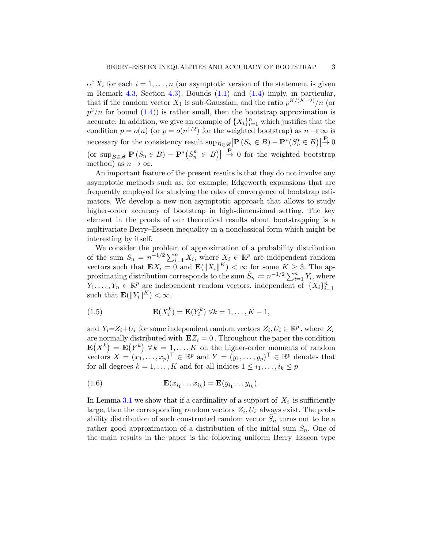of  $X_i$  for each  $i = 1, \ldots, n$  (an asymptotic version of the statement is given in Remark [4.3,](#page-16-0) Section [4.3\)](#page-16-1). Bounds  $(1.1)$  and  $(1.4)$  imply, in particular, that if the random vector  $X_1$  is sub-Gaussian, and the ratio  $p^{K/(K-2)}/n$  (or  $p^2/n$  for bound  $(1.4)$  is rather small, then the bootstrap approximation is accurate. In addition, we give an example of  $\{X_i\}_{i=1}^n$  which justifies that the condition  $p = o(n)$  (or  $p = o(n^{1/2})$  for the weighted bootstrap) as  $n \to \infty$  is necessary for the consistency result  $\sup_{B \in \mathcal{B}} |\mathbf{P}(S_n \in B) - \mathbf{P}^*(S_n^* \in B)|$  $\stackrel{\mathbf{P}}{\rightarrow} 0$  $\left\{ \text{or } \sup_{B \in \mathcal{B}} \left| \mathbf{P} \left( S_n \in B \right) - \mathbf{P}^* \left( S_n^{\bullet} \in B \right) \right| \right\}$  $\frac{\mathbf{P}}{\rightarrow}$  0 for the weighted bootstrap method) as  $n \to \infty$ .

An important feature of the present results is that they do not involve any asymptotic methods such as, for example, Edgeworth expansions that are frequently employed for studying the rates of convergence of bootstrap estimators. We develop a new non-asymptotic approach that allows to study higher-order accuracy of bootstrap in high-dimensional setting. The key element in the proofs of our theoretical results about bootstrapping is a multivariate Berry–Esseen inequality in a nonclassical form which might be interesting by itself.

We consider the problem of approximation of a probability distribution of the sum  $S_n = n^{-1/2} \sum_{i=1}^n X_i$ , where  $X_i \in \mathbb{R}^p$  are independent random vectors such that  $\mathbf{E}X_i = 0$  and  $\mathbf{E}(\|X_i\|^K) < \infty$  for some  $K \geq 3$ . The approximating distribution corresponds to the sum  $\tilde{S}_n := n^{-1/2} \sum_{i=1}^n Y_i$ , where  $Y_1, \ldots, Y_n \in \mathbb{R}^p$  are independent random vectors, independent of  $\{X_i\}_{i=1}^n$ such that  $\mathbf{E}(\|Y_i\|^K) < \infty$ ,

<span id="page-2-0"></span>(1.5) 
$$
\mathbf{E}(X_i^k) = \mathbf{E}(Y_i^k) \ \forall k = 1, \dots, K-1,
$$

and  $Y_i = Z_i + U_i$  for some independent random vectors  $Z_i, U_i \in \mathbb{R}^p$ , where  $Z_i$ are normally distributed with  $\mathbf{E}Z_i = 0$ . Throughout the paper the condition  $\mathbf{E}(X^k) = \mathbf{E}(Y^k)$   $\forall k = 1, ..., K$  on the higher-order moments of random vectors  $X = (x_1, \ldots, x_p)^\top \in \mathbb{R}^p$  and  $Y = (y_1, \ldots, y_p)^\top \in \mathbb{R}^p$  denotes that for all degrees  $k = 1, ..., K$  and for all indices  $1 \leq i_1, ..., i_k \leq p$ 

<span id="page-2-1"></span>
$$
\mathbf{E}(x_{i_1}\dots x_{i_k})=\mathbf{E}(y_{i_1}\dots y_{i_k}).
$$

In Lemma [3.1](#page-10-0) we show that if a cardinality of a support of  $X_i$  is sufficiently large, then the corresponding random vectors  $Z_i, U_i$  always exist. The probability distribution of such constructed random vector  $\tilde{S}_n$  turns out to be a rather good approximation of a distribution of the initial sum  $S_n$ . One of the main results in the paper is the following uniform Berry–Esseen type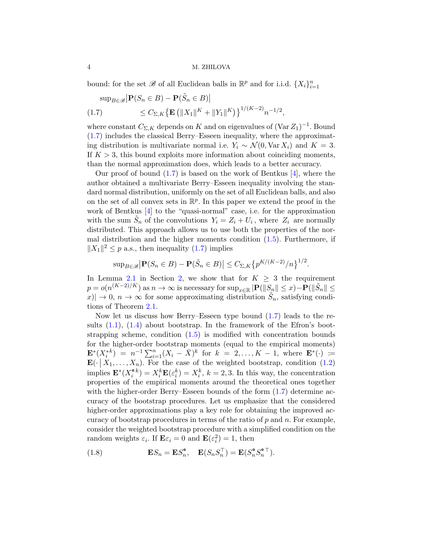bound: for the set  $\mathscr{B}$  of all Euclidean balls in  $\mathbb{R}^p$  and for i.i.d.  $\{X_i\}_{i=1}^n$ 

<span id="page-3-0"></span>
$$
\sup_{B \in \mathcal{B}} \left| \mathbf{P}(S_n \in B) - \mathbf{P}(\tilde{S}_n \in B) \right|
$$
  
(1.7) 
$$
\leq C_{\Sigma,K} \left\{ \mathbf{E} \left( \|X_1\|^{K} + \|Y_1\|^{K} \right) \right\}^{1/(K-2)} n^{-1/2},
$$

where constant  $C_{\Sigma,K}$  depends on K and on eigenvalues of  $(\text{Var }Z_1)^{-1}$ . Bound [\(1.7\)](#page-3-0) includes the classical Berry–Esseen inequality, where the approximating distribution is multivariate normal i.e.  $Y_i \sim \mathcal{N}(0, \text{Var } X_i)$  and  $K = 3$ . If  $K > 3$ , this bound exploits more information about coinciding moments, than the normal approximation does, which leads to a better accuracy.

Our proof of bound  $(1.7)$  is based on the work of Bentkus  $[4]$ , where the author obtained a multivariate Berry–Esseen inequality involving the standard normal distribution, uniformly on the set of all Euclidean balls, and also on the set of all convex sets in  $\mathbb{R}^p$ . In this paper we extend the proof in the work of Bentkus [\[4\]](#page-22-1) to the "quasi-normal" case, i.e. for the approximation with the sum  $\tilde{S}_n$  of the convolutions  $Y_i = Z_i + U_i$ , where  $Z_i$  are normally distributed. This approach allows us to use both the properties of the normal distribution and the higher moments condition [\(1.5\)](#page-2-0). Furthermore, if  $||X_1||^2 \leq p$  a.s., then inequality [\(1.7\)](#page-3-0) implies

$$
\sup_{B\in\mathscr{B}}\left|\mathbf{P}(S_n\in B)-\mathbf{P}(\tilde{S}_n\in B)\right|\leq C_{\Sigma,K}\left\{p^{K/(K-2)}/n\right\}^{1/2}.
$$

In Lemma [2.1](#page-8-0) in Section [2,](#page-7-1) we show that for  $K > 3$  the requirement  $p = o(n^{(K-2)/K})$  as  $n \to \infty$  is necessary for  $\sup_{x \in \mathbb{R}} |\mathbf{P}(\|S_n\| \leq x) - \mathbf{P}(\|\tilde{S}_n\| \leq$  $||x|| \to 0, n \to \infty$  for some approximating distribution  $\tilde{S}_n$ , satisfying conditions of Theorem [2.1.](#page-7-2)

Now let us discuss how Berry–Esseen type bound [\(1.7\)](#page-3-0) leads to the results  $(1.1)$ ,  $(1.4)$  about bootstrap. In the framework of the Efron's bootstrapping scheme, condition  $(1.5)$  is modified with concentration bounds for the higher-order bootstrap moments (equal to the empirical moments)  $\mathbf{E}^*(X_i^{*k}) = n^{-1} \sum_{i=1}^n (X_i - \bar{X})^k$  for  $k = 2, ..., K - 1$ , where  $\mathbf{E}^*(\cdot) :=$  $\mathbf{E}(\cdot | X_1, \ldots, X_n)$ . For the case of the weighted bootstrap, condition [\(1.2\)](#page-1-2) implies  $\mathbf{E}^*(X_i^{\bullet k}) = X_i^k \mathbf{E}(\varepsilon_i^k) = X_i^k$ ,  $k = 2, 3$ . In this way, the concentration properties of the empirical moments around the theoretical ones together with the higher-order Berry–Esseen bounds of the form  $(1.7)$  determine accuracy of the bootstrap procedures. Let us emphasize that the considered higher-order approximations play a key role for obtaining the improved accuracy of bootstrap procedures in terms of the ratio of  $p$  and  $n$ . For example, consider the weighted bootstrap procedure with a simplified condition on the random weights  $\varepsilon_i$ . If  $\mathbf{E}\varepsilon_i = 0$  and  $\mathbf{E}(\varepsilon_i^2) = 1$ , then

<span id="page-3-1"></span>(1.8) 
$$
\mathbf{E} S_n = \mathbf{E} S_n^{\bullet}, \quad \mathbf{E} (S_n S_n^{\top}) = \mathbf{E} (S_n^{\bullet} S_n^{\bullet \top}).
$$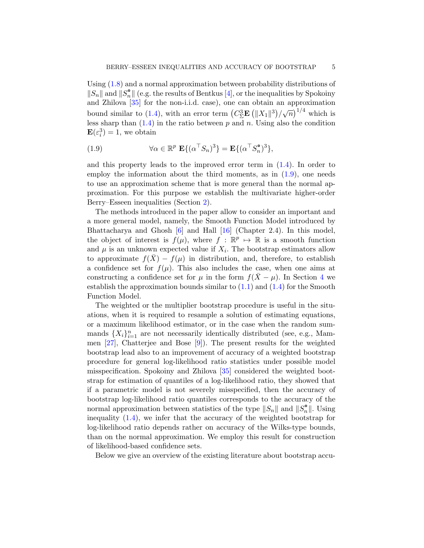Using [\(1.8\)](#page-3-1) and a normal approximation between probability distributions of  $||S_n||$  and  $||S_n^{\circ}||$  (e.g. the results of Bentkus [\[4\]](#page-22-1), or the inequalities by Spokoiny and Zhilova [\[35\]](#page-23-0) for the non-i.i.d. case), one can obtain an approximation bound similar to [\(1.4\)](#page-1-1), with an error term  $(C_2^3 \mathbf{E} (||X_1||^3)/\sqrt{n})^{1/4}$  which is less sharp than  $(1.4)$  in the ratio between p and n. Using also the condition  $\mathbf{E}(\varepsilon_i^3) = 1$ , we obtain

<span id="page-4-0"></span>(1.9) 
$$
\forall \alpha \in \mathbb{R}^p \mathbf{E} \{ (\alpha^\top S_n)^3 \} = \mathbf{E} \{ (\alpha^\top S_n^{\bullet})^3 \},
$$

and this property leads to the improved error term in  $(1.4)$ . In order to employ the information about the third moments, as in  $(1.9)$ , one needs to use an approximation scheme that is more general than the normal approximation. For this purpose we establish the multivariate higher-order Berry–Esseen inequalities (Section [2\)](#page-7-1).

The methods introduced in the paper allow to consider an important and a more general model, namely, the Smooth Function Model introduced by Bhattacharya and Ghosh  $[6]$  and Hall  $[16]$  (Chapter 2.4). In this model, the object of interest is  $f(\mu)$ , where  $f : \mathbb{R}^p \to \mathbb{R}$  is a smooth function and  $\mu$  is an unknown expected value if  $X_i$ . The bootstrap estimators allow to approximate  $f(\bar{X}) - f(\mu)$  in distribution, and, therefore, to establish a confidence set for  $f(\mu)$ . This also includes the case, when one aims at constructing a confidence set for  $\mu$  in the form  $f(\bar{X}-\mu)$ . In Section [4](#page-13-0) we establish the approximation bounds similar to  $(1.1)$  and  $(1.4)$  for the Smooth Function Model.

The weighted or the multiplier bootstrap procedure is useful in the situations, when it is required to resample a solution of estimating equations, or a maximum likelihood estimator, or in the case when the random summands  $\{X_i\}_{i=1}^n$  are not necessarily identically distributed (see, e.g., Mammen [\[27\]](#page-23-1), Chatterjee and Bose [\[9\]](#page-22-4)). The present results for the weighted bootstrap lead also to an improvement of accuracy of a weighted bootstrap procedure for general log-likelihood ratio statistics under possible model misspecification. Spokoiny and Zhilova [\[35\]](#page-23-0) considered the weighted bootstrap for estimation of quantiles of a log-likelihood ratio, they showed that if a parametric model is not severely misspecified, then the accuracy of bootstrap log-likelihood ratio quantiles corresponds to the accuracy of the normal approximation between statistics of the type  $||S_n||$  and  $||S_n^{\bullet}||$ . Using inequality [\(1.4\)](#page-1-1), we infer that the accuracy of the weighted bootstrap for log-likelihood ratio depends rather on accuracy of the Wilks-type bounds, than on the normal approximation. We employ this result for construction of likelihood-based confidence sets.

Below we give an overview of the existing literature about bootstrap accu-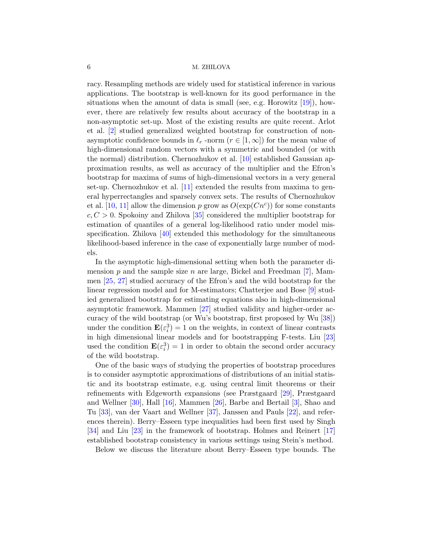racy. Resampling methods are widely used for statistical inference in various applications. The bootstrap is well-known for its good performance in the situations when the amount of data is small (see, e.g. Horowitz  $[19]$ ), however, there are relatively few results about accuracy of the bootstrap in a non-asymptotic set-up. Most of the existing results are quite recent. Arlot et al. [\[2\]](#page-22-6) studied generalized weighted bootstrap for construction of nonasymptotic confidence bounds in  $\ell_r$  -norm  $(r \in [1, \infty])$  for the mean value of high-dimensional random vectors with a symmetric and bounded (or with the normal) distribution. Chernozhukov et al. [\[10\]](#page-22-7) established Gaussian approximation results, as well as accuracy of the multiplier and the Efron's bootstrap for maxima of sums of high-dimensional vectors in a very general set-up. Chernozhukov et al. [\[11\]](#page-22-8) extended the results from maxima to general hyperrectangles and sparsely convex sets. The results of Chernozhukov et al. [\[10,](#page-22-7) [11\]](#page-22-8) allow the dimension p grow as  $O(\exp(Cn^c))$  for some constants  $c, C > 0$ . Spokoiny and Zhilova [\[35\]](#page-23-0) considered the multiplier bootstrap for estimation of quantiles of a general log-likelihood ratio under model misspecification. Zhilova [\[40\]](#page-23-2) extended this methodology for the simultaneous likelihood-based inference in the case of exponentially large number of models.

In the asymptotic high-dimensional setting when both the parameter dimension p and the sample size n are large, Bickel and Freedman  $[7]$ , Mammen [\[25,](#page-23-3) [27\]](#page-23-1) studied accuracy of the Efron's and the wild bootstrap for the linear regression model and for M-estimators; Chatterjee and Bose [\[9\]](#page-22-4) studied generalized bootstrap for estimating equations also in high-dimensional asymptotic framework. Mammen [\[27\]](#page-23-1) studied validity and higher-order accuracy of the wild bootstrap (or Wu's bootstrap, first proposed by Wu [\[38\]](#page-23-4)) under the condition  $\mathbf{E}(\varepsilon_i^3) = 1$  on the weights, in context of linear contrasts in high dimensional linear models and for bootstrapping F-tests. Liu [\[23\]](#page-23-5) used the condition  $\mathbf{E}(\varepsilon_i^3) = 1$  in order to obtain the second order accuracy of the wild bootstrap.

One of the basic ways of studying the properties of bootstrap procedures is to consider asymptotic approximations of distributions of an initial statistic and its bootstrap estimate, e.g. using central limit theorems or their refinements with Edgeworth expansions (see Præstgaard [\[29\]](#page-23-6), Præstgaard and Wellner [\[30\]](#page-23-7), Hall [\[16\]](#page-22-3), Mammen [\[26\]](#page-23-8), Barbe and Bertail [\[3\]](#page-22-10), Shao and Tu [\[33\]](#page-23-9), van der Vaart and Wellner [\[37\]](#page-23-10), Janssen and Pauls [\[22\]](#page-23-11), and references therein). Berry–Esseen type inequalities had been first used by Singh [\[34\]](#page-23-12) and Liu [\[23\]](#page-23-5) in the framework of bootstrap. Holmes and Reinert [\[17\]](#page-22-11) established bootstrap consistency in various settings using Stein's method.

Below we discuss the literature about Berry–Esseen type bounds. The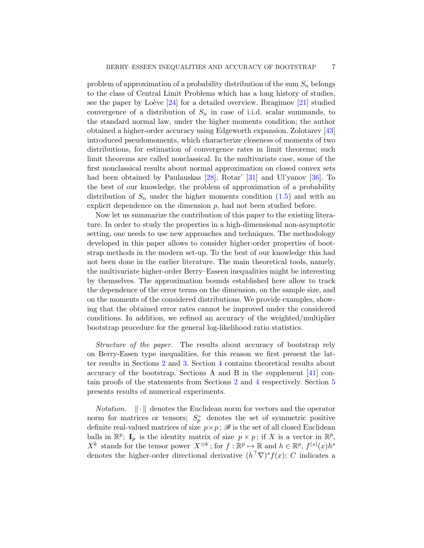problem of approximation of a probability distribution of the sum  $S_n$  belongs to the class of Central Limit Problems which has a long history of studies, see the paper by Loève  $[24]$  for a detailed overview. Ibragimov  $[21]$  studied convergence of a distribution of  $S_n$  in case of i.i.d. scalar summands, to the standard normal law, under the higher moments condition; the author obtained a higher-order accuracy using Edgeworth expansion. Zolotarev [\[43\]](#page-23-14) introduced pseudomoments, which characterize closeness of moments of two distributions, for estimation of convergence rates in limit theorems; such limit theorems are called nonclassical. In the multivariate case, some of the first nonclassical results about normal approximation on closed convex sets had been obtained by Paulauskas [\[28\]](#page-23-15), Rotar' [\[31\]](#page-23-16) and Ul'yanov [\[36\]](#page-23-17). To the best of our knowledge, the problem of approximation of a probability distribution of  $S_n$  under the higher moments condition  $(1.5)$  and with an explicit dependence on the dimension  $p$ , had not been studied before.

Now let us summarize the contribution of this paper to the existing literature. In order to study the properties in a high-dimensional non-asymptotic setting, one needs to use new approaches and techniques. The methodology developed in this paper allows to consider higher-order properties of bootstrap methods in the modern set-up. To the best of our knowledge this had not been done in the earlier literature. The main theoretical tools, namely, the multivariate higher-order Berry–Esseen inequalities might be interesting by themselves. The approximation bounds established here allow to track the dependence of the error terms on the dimension, on the sample size, and on the moments of the considered distributions. We provide examples, showing that the obtained error rates cannot be improved under the considered conditions. In addition, we refined an accuracy of the weighted/multiplier bootstrap procedure for the general log-likelihood ratio statistics.

Structure of the paper. The results about accuracy of bootstrap rely on Berry-Essen type inequalities, for this reason we first present the latter results in Sections [2](#page-7-1) and [3.](#page-10-1) Section [4](#page-13-0) contains theoretical results about accuracy of the bootstrap. Sections A and B in the supplement  $[41]$  contain proofs of the statements from Sections [2](#page-7-1) and [4](#page-13-0) respectively. Section [5](#page-19-0) presents results of numerical experiments.

*Notation.*  $\|\cdot\|$  denotes the Euclidean norm for vectors and the operator norm for matrices or tensors;  $S_p^+$  denotes the set of symmetric positive definite real-valued matrices of size  $p \times p$ ;  $\mathscr{B}$  is the set of all closed Euclidean balls in  $\mathbb{R}^p$ ;  $\mathbf{I}_p$  is the identity matrix of size  $p \times p$ ; if X is a vector in  $\mathbb{R}^p$ ,  $X^k$  stands for the tensor power  $X^{\otimes k}$ ; for  $f : \mathbb{R}^p \to \mathbb{R}$  and  $h \in \mathbb{R}^p$ ,  $f^{(s)}(x)h^s$ denotes the higher-order directional derivative  $(h^{\top} \nabla)^s f(x)$ ; C indicates a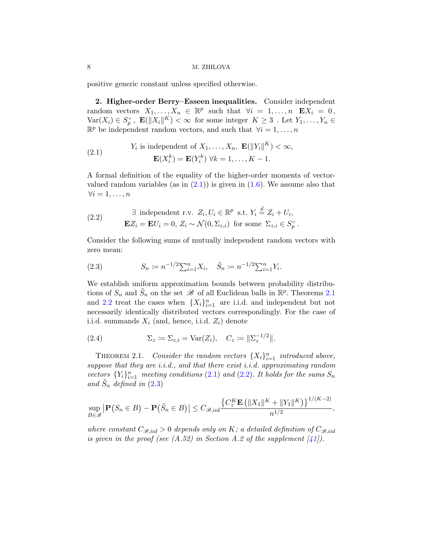positive generic constant unless specified otherwise.

<span id="page-7-1"></span>2. Higher-order Berry–Esseen inequalities. Consider independent random vectors  $X_1, \ldots, X_n \in \mathbb{R}^p$  such that  $\forall i = 1, \ldots, n$   $\mathbf{E} X_i = 0$ ,  $\text{Var}(X_i) \in S_p^+$ ,  $\mathbf{E}(\|X_i\|^K) < \infty$  for some integer  $K \geq 3$ . Let  $Y_1, \ldots, Y_n \in$  $\mathbb{R}^p$  be independent random vectors, and such that  $\forall i = 1, \ldots, n$ 

<span id="page-7-3"></span>(2.1) 
$$
Y_i \text{ is independent of } X_1, \dots, X_n, \ \mathbf{E}(\|Y_i\|^K) < \infty,
$$
\n
$$
\mathbf{E}(X_i^k) = \mathbf{E}(Y_i^k) \ \forall k = 1, \dots, K-1.
$$

A formal definition of the equality of the higher-order moments of vectorvalued random variables (as in  $(2.1)$ ) is given in  $(1.6)$ . We assume also that  $\forall i = 1, \ldots, n$ 

<span id="page-7-4"></span>(2.2) 
$$
\exists \text{ independent r.v. } Z_i, U_i \in \mathbb{R}^p \text{ s.t. } Y_i \stackrel{d}{=} Z_i + U_i,
$$

$$
\mathbf{E} Z_i = \mathbf{E} U_i = 0, Z_i \sim \mathcal{N}(0, \Sigma_{z,i}) \text{ for some } \Sigma_{z,i} \in S_p^+.
$$

Consider the following sums of mutually independent random vectors with zero mean:

<span id="page-7-5"></span>(2.3) 
$$
S_n \coloneqq n^{-1/2} \sum_{i=1}^n X_i, \quad \tilde{S}_n \coloneqq n^{-1/2} \sum_{i=1}^n Y_i.
$$

We establish uniform approximation bounds between probability distributions of  $S_n$  and  $\tilde{S}_n$  on the set  $\mathscr B$  of all Euclidean balls in  $\mathbb R^p$ . Theorems [2.1](#page-7-2) and [2.2](#page-9-1) treat the cases when  $\{X_i\}_{i=1}^n$  are i.i.d. and independent but not necessarily identically distributed vectors correspondingly. For the case of i.i.d. summands  $X_i$  (and, hence, i.i.d.  $Z_i$ ) denote

<span id="page-7-0"></span>(2.4) 
$$
\Sigma_z := \Sigma_{z,i} = \text{Var}(Z_i), \quad C_z := ||\Sigma_z^{-1/2}||.
$$

<span id="page-7-2"></span>THEOREM 2.1. Consider the random vectors  $\{X_i\}_{i=1}^n$  introduced above, suppose that they are *i.i.d.*, and that there exist *i.i.d.* approximating random vectors  ${Y_i}_{i=1}^n$  meeting conditions [\(2.1\)](#page-7-3) and [\(2.2\)](#page-7-4). It holds for the sums  $S_n$ and  $\tilde{S}_n$  defined in  $(2.3)$ 

$$
\sup_{B\in\mathscr{B}}\left|\mathbf{P}\big(S_n\in B\big)-\mathbf{P}\big(\tilde{S}_n\in B\big)\right|\leq C_{\mathscr{B},iid}\frac{\left\{C_z^K\mathbf{E}\left(\|X_1\|^K+\|Y_1\|^K\right)\right\}^{1/(K-2)}}{n^{1/2}},
$$

where constant  $C_{\mathcal{B},iid} > 0$  depends only on K; a detailed definition of  $C_{\mathcal{B},iid}$ is given in the proof (see  $(A.52)$  in Section A.2 of the supplement  $[41]$ ).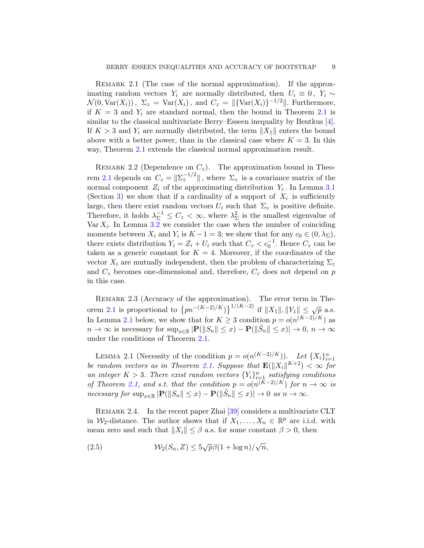REMARK 2.1 (The case of the normal approximation). If the approximating random vectors  $Y_i$  are normally distributed, then  $U_i \equiv 0, Y_i \sim$  $\mathcal{N}(0, \text{Var}(X_i)), \ \Sigma_z = \text{Var}(X_i), \text{ and } C_z = ||\{\text{Var}(X_i)\}^{-1/2}||. \text{ Furthermore,}$ if  $K = 3$  and  $Y_i$  are standard normal, then the bound in Theorem [2.1](#page-7-2) is similar to the classical multivariate Berry–Esseen inequality by Bentkus [\[4\]](#page-22-1). If  $K > 3$  and  $Y_i$  are normally distributed, the term  $||X_1||$  enters the bound above with a better power, than in the classical case where  $K = 3$ . In this way, Theorem [2.1](#page-7-2) extends the classical normal approximation result.

<span id="page-8-2"></span>REMARK 2.2 (Dependence on  $C_z$ ). The approximation bound in Theo-rem [2.1](#page-7-2) depends on  $C_z = ||\Sigma_z^{-1/2}||$ , where  $\Sigma_z$  is a covariance matrix of the normal component  $Z_i$  of the approximating distribution  $Y_i$ . In Lemma [3.1](#page-10-0) (Section [3\)](#page-10-1) we show that if a cardinality of a support of  $X_i$  is sufficiently large, then there exist random vectors  $U_i$  such that  $\Sigma_z$  is positive definite. Therefore, it holds  $\lambda_{\Sigma}^{-1} \leq C_z < \infty$ , where  $\lambda_{\Sigma}^2$  is the smallest eigenvalue of  $\text{Var } X_i$ . In Lemma [3.2](#page-12-0) we consider the case when the number of coinciding moments between  $X_i$  and  $Y_i$  is  $K - 1 = 3$ ; we show that for any  $c_0 \in (0, \lambda_{\Sigma}),$ there exists distribution  $Y_i = Z_i + U_i$  such that  $C_z < c_0^{-1}$ . Hence  $C_z$  can be taken as a generic constant for  $K = 4$ . Moreover, if the coordinates of the vector  $X_i$  are mutually independent, then the problem of characterizing  $\Sigma_z$ and  $C_z$  becomes one-dimensional and, therefore,  $C_z$  does not depend on p in this case.

REMARK 2.3 (Accuracy of the approximation). The error term in The-orem [2.1](#page-7-2) is proportional to  $\{pn^{-(K-2)/K}\}\}^{1/(K-2)}$  if  $||X_1||, ||Y_1|| \leq \sqrt{p}$  a.s. In Lemma [2.1](#page-8-0) below, we show that for  $K \geq 3$  condition  $p = o(n^{(K-2)/K})$  as  $n \to \infty$  is necessary for  $\sup_{x \in \mathbb{R}} |\mathbf{P}(\|S_n\| \leq x) - \mathbf{P}(\|\tilde{S}_n\| \leq x)| \to 0, n \to \infty$ under the conditions of Theorem [2.1.](#page-7-2)

<span id="page-8-0"></span>LEMMA 2.1 (Necessity of the condition  $p = o(n^{(K-2)/K})$ ). Let  $\{X_i\}_{i=1}^n$ be random vectors as in Theorem [2.1.](#page-7-2) Suppose that  $\mathbf{E}(\|X_i\|^{K+2}) < \infty$  for an integer  $K > 3$ . There exist random vectors  ${Y_i}_{i=1}^n$  satisfying conditions of Theorem [2.1,](#page-7-2) and s.t. that the condition  $p = o(n^{(K-2)/K})$  for  $n \to \infty$  is necessary for  $\sup_{x \in \mathbb{R}} |\mathbf{P}(\|S_n\| \leq x) - \mathbf{P}(\|\tilde{S}_n\| \leq x)| \to 0$  as  $n \to \infty$ .

REMARK 2.4. In the recent paper Zhai [\[39\]](#page-23-19) considers a multivariate CLT in  $\mathcal{W}_2$ -distance. The author shows that if  $X_1, \ldots, X_n \in \mathbb{R}^p$  are i.i.d. with mean zero and such that  $||X_i|| \leq \beta$  a.s. for some constant  $\beta > 0$ , then

<span id="page-8-1"></span>(2.5) 
$$
\mathcal{W}_2(S_n, Z) \le 5\sqrt{p}\beta(1 + \log n)/\sqrt{n},
$$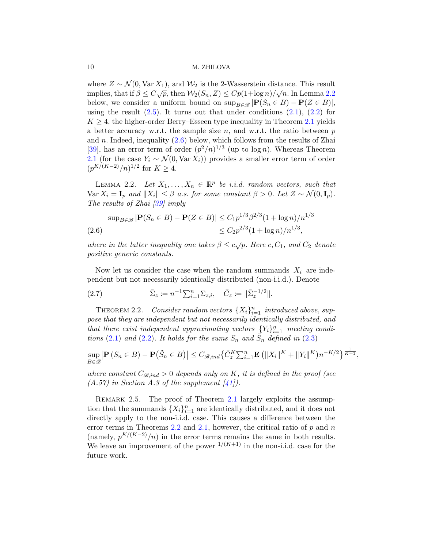where  $Z \sim \mathcal{N}(0, \text{Var } X_1)$ , and  $\mathcal{W}_2$  is the 2-Wasserstein distance. This result implies, that if  $\beta \le C \sqrt{p}$ , then  $\mathcal{W}_2(S_n, Z) \le Cp(1+\log n)/\sqrt{n}$ . In Lemma [2.2](#page-9-2) below, we consider a uniform bound on  $\sup_{B \in \mathscr{B}} |\mathbf{P}(S_n \in B) - \mathbf{P}(Z \in B)|$ , using the result  $(2.5)$ . It turns out that under conditions  $(2.1)$ ,  $(2.2)$  for  $K \geq 4$ , the higher-order Berry–Esseen type inequality in Theorem [2.1](#page-7-2) yields a better accuracy w.r.t. the sample size  $n$ , and w.r.t. the ratio between  $p$ and n. Indeed, inequality  $(2.6)$  below, which follows from the results of Zhai [\[39\]](#page-23-19), has an error term of order  $(p^2/n)^{1/3}$  (up to log n). Whereas Theorem [2.1](#page-7-2) (for the case  $Y_i \sim \mathcal{N}(0, \text{Var } X_i)$ ) provides a smaller error term of order  $(p^{K/(K-2)}/n)^{1/2}$  for  $K \geq 4$ .

<span id="page-9-2"></span>LEMMA 2.2. Let  $X_1, \ldots, X_n \in \mathbb{R}^p$  be *i.i.d.* random vectors, such that  $\text{Var } X_i = I_p$  and  $||X_i|| \leq \beta$  a.s. for some constant  $\beta > 0$ . Let  $Z \sim \mathcal{N}(0, I_p)$ . The results of Zhai [\[39\]](#page-23-19) imply

<span id="page-9-3"></span>
$$
\sup_{B \in \mathcal{B}} |\mathbf{P}(S_n \in B) - \mathbf{P}(Z \in B)| \le C_1 p^{1/3} \beta^{2/3} (1 + \log n) / n^{1/3}
$$
  
(2.6) 
$$
\le C_2 p^{2/3} (1 + \log n) / n^{1/3},
$$

where in the latter inequality one takes  $\beta \leq c\sqrt{p}$ . Here c,  $C_1$ , and  $C_2$  denote positive generic constants.

Now let us consider the case when the random summands  $X_i$  are independent but not necessarily identically distributed (non-i.i.d.). Denote

<span id="page-9-0"></span>(2.7) 
$$
\bar{\Sigma}_z := n^{-1} \sum_{i=1}^n \Sigma_{z,i}, \quad \bar{C}_z := ||\bar{\Sigma}_z^{-1/2}||.
$$

<span id="page-9-1"></span>THEOREM 2.2. Consider random vectors  $\{X_i\}_{i=1}^n$  introduced above, suppose that they are independent but not necessarily identically distributed, and that there exist independent approximating vectors  $\{Y_i\}_{i=1}^n$  meeting condi-tions [\(2.1\)](#page-7-3) and [\(2.2\)](#page-7-4). It holds for the sums  $S_n$  and  $\tilde{S}_n$  defined in [\(2.3\)](#page-7-5)

$$
\sup_{B\in\mathscr{B}}\left|\mathbf{P}\left(S_n\in B\right)-\mathbf{P}\left(\tilde{S}_n\in B\right)\right|\leq C_{\mathscr{B},ind}\left\{\bar{C}_{z}^K\sum_{i=1}^n\mathbf{E}\left(\|X_i\|^K+\|Y_i\|^K\right)n^{-K/2}\right\}^{\frac{1}{K+1}},
$$

where constant  $C_{\mathcal{B},ind} > 0$  depends only on K, it is defined in the proof (see  $(A.57)$  in Section A.3 of the supplement  $\left[41\right]$ .

REMARK 2.5. The proof of Theorem [2.1](#page-7-2) largely exploits the assumption that the summands  $\{X_i\}_{i=1}^n$  are identically distributed, and it does not directly apply to the non-i.i.d. case. This causes a difference between the error terms in Theorems  $2.2$  and  $2.1$ , however, the critical ratio of p and n (namely,  $p^{K/(K-2)}/n$ ) in the error terms remains the same in both results. We leave an improvement of the power  $^{1/(K+1)}$  in the non-i.i.d. case for the future work.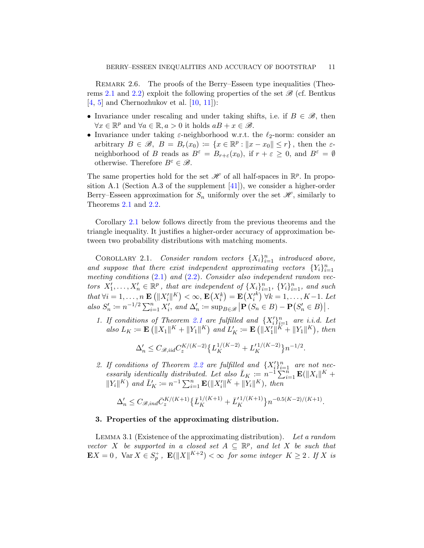REMARK 2.6. The proofs of the Berry–Esseen type inequalities (Theo-rems [2.1](#page-7-2) and [2.2\)](#page-9-1) exploit the following properties of the set  $\mathscr{B}$  (cf. Bentkus  $[4, 5]$  $[4, 5]$  $[4, 5]$  and Chernozhukov et al.  $[10, 11]$  $[10, 11]$  $[10, 11]$ :

- Invariance under rescaling and under taking shifts, i.e. if  $B \in \mathcal{B}$ , then  $\forall x \in \mathbb{R}^p$  and  $\forall a \in \mathbb{R}, a > 0$  it holds  $aB + x \in \mathcal{B}$ .
- Invariance under taking  $\varepsilon$ -neighborhood w.r.t. the  $\ell_2$ -norm: consider an arbitrary  $B \in \mathcal{B}, B = B_r(x_0) := \{x \in \mathbb{R}^p : ||x - x_0|| \le r\},\$  then the  $\varepsilon$ neighborhood of B reads as  $B^{\varepsilon} = B_{r+\varepsilon}(x_0)$ , if  $r+\varepsilon \geq 0$ , and  $B^{\varepsilon} = \emptyset$ otherwise. Therefore  $B^{\varepsilon} \in \mathscr{B}$ .

The same properties hold for the set  $\mathscr H$  of all half-spaces in  $\mathbb R^p$ . In proposition A.1 (Section A.3 of the supplement  $[41]$ ), we consider a higher-order Berry–Esseen approximation for  $S_n$  uniformly over the set  $\mathscr{H}$ , similarly to Theorems [2.1](#page-7-2) and [2.2.](#page-9-1)

Corollary [2.1](#page-10-2) below follows directly from the previous theorems and the triangle inequality. It justifies a higher-order accuracy of approximation between two probability distributions with matching moments.

<span id="page-10-2"></span>COROLLARY 2.1. Consider random vectors  $\{X_i\}_{i=1}^n$  introduced above, and suppose that there exist independent approximating vectors  ${Y_i}_{i=1}^n$ meeting conditions  $(2.1)$  and  $(2.2)$ . Consider also independent random vectors  $X'_1, \ldots, X'_n \in \mathbb{R}^p$ , that are independent of  $\{X_i\}_{i=1}^n$ ,  $\{Y_i\}_{i=1}^n$ , and such that  $\forall i=1,\ldots,n$   $\mathbf{E}\left(\Vert X_{i}^{\prime}\Vert^{K}\right)<\infty,$   $\mathbf{E}\left(X_{i}^{k}\right)=\mathbf{E}\left(X_{i}^{\prime}\right)$  $k)$  ∀ $k = 1, \ldots, K-1$ . Let also  $S'_n := n^{-1/2} \sum_{i=1}^n X'_i$ , and  $\Delta'_n := \sup_{B \in \mathscr{B}} |\mathbf{P}(S_n \in B) - \mathbf{P}(S'_n \in B)|$ .

1. If conditions of Theorem [2.1](#page-7-2) are fulfilled and  $\{X_i'\}_{i=1}^n$  are i.i.d. Let also  $L_K \coloneqq \mathbf{E}\left(\|X_1\|^K + \|Y_1\|^K\right)$  and  $L'_K \coloneqq \mathbf{E}\left(\|X'_1\|^K + \|Y_1\|^K\right)$ , then

$$
\Delta_n' \leq C_{\mathscr{B},iid} C_z^{K/(K-2)} \big\{ L_K^{1/(K-2)} + L_K'^{1/(K-2)} \big\} n^{-1/2}.
$$

2. If conditions of Theorem [2.2](#page-9-1) are fulfilled and  $\{X_i'\}_{i=1}^n$  are not necessarily identically distributed. Let also  $\bar{L}_K := n^{-1} \sum_{i=1}^{n} \mathbf{E}(\|X_i\|^K +$  $||Y_i||^K$ ) and  $\bar{L}'_K := n^{-1} \sum_{i=1}^n \mathbf{E}(||X'_i||^K + ||Y_i||^K)$ , then

$$
\Delta'_n \leq C_{\mathcal{B},ind} \bar{C}_{z}^{K/(K+1)} \left\{ \bar{L}_{K}^{1/(K+1)} + \bar{L}_{K}^{'1/(K+1)} \right\} n^{-0.5(K-2)/(K+1)}.
$$

# <span id="page-10-1"></span>3. Properties of the approximating distribution.

<span id="page-10-0"></span>Lemma 3.1 (Existence of the approximating distribution). Let a random vector X be supported in a closed set  $A \subseteq \mathbb{R}^p$ , and let X be such that  $\mathbf{E} X = 0$ ,  $\text{Var } X \in S_p^+$ ,  $\mathbf{E} (\|X\|^{K+2}) < \infty$  for some integer  $K \geq 2$ . If  $X$  is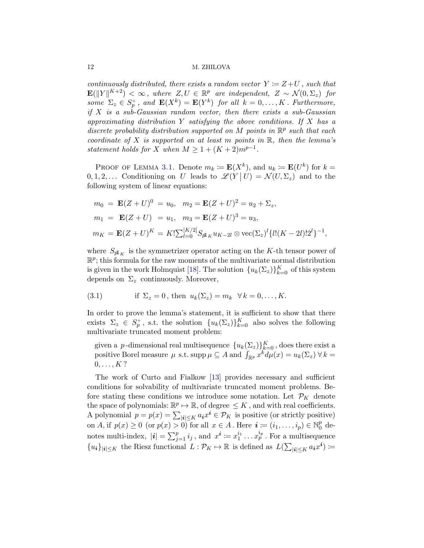continuously distributed, there exists a random vector  $Y \coloneqq Z+U$ , such that  $\mathbf{E}(\|Y\|^{K+2}) < \infty$ , where  $Z, U \in \mathbb{R}^p$  are independent,  $Z \sim \mathcal{N}(0, \Sigma_z)$  for some  $\Sigma_z \in S_p^+$ , and  $\mathbf{E}(X^k) = \mathbf{E}(Y^k)$  for all  $k = 0, \ldots, K$ . Furthermore, if  $X$  is a sub-Gaussian random vector, then there exists a sub-Gaussian approximating distribution  $Y$  satisfying the above conditions. If  $X$  has a discrete probability distribution supported on M points in  $\mathbb{R}^p$  such that each coordinate of X is supported on at least m points in  $\mathbb{R}$ , then the lemma's statement holds for X when  $M \geq 1 + (K + 2)m^{p-1}$ .

PROOF OF LEMMA [3.1.](#page-10-0) Denote  $m_k := \mathbf{E}(X^k)$ , and  $u_k := \mathbf{E}(U^k)$  for  $k =$  $0, 1, 2, \ldots$  Conditioning on U leads to  $\mathscr{L}(Y | U) = \mathcal{N}(U, \Sigma_z)$  and to the following system of linear equations:

$$
m_0 = \mathbf{E}(Z+U)^0 = u_0, \quad m_2 = \mathbf{E}(Z+U)^2 = u_2 + \Sigma_z,
$$
  
\n
$$
m_1 = \mathbf{E}(Z+U) = u_1, \quad m_3 = \mathbf{E}(Z+U)^3 = u_3,
$$
  
\n
$$
m_K = \mathbf{E}(Z+U)^K = K! \sum_{l=0}^{[K/2]} S_{pl_K} u_{K-2l} \otimes \text{vec}(\Sigma_z)^l \{l!(K-2l)!2^l\}^{-1},
$$

where  $S_{p1_K}$  is the symmetrizer operator acting on the K-th tensor power of  $\mathbb{R}^p$ ; this formula for the raw moments of the multivariate normal distribution is given in the work Holmquist [\[18\]](#page-22-14). The solution  ${u_k(\Sigma_z)}_{k=0}^K$  of this system depends on  $\Sigma_z$  continuously. Moreover,

<span id="page-11-0"></span>(3.1) if 
$$
\Sigma_z = 0
$$
, then  $u_k(\Sigma_z) = m_k \quad \forall k = 0, \dots, K$ .

In order to prove the lemma's statement, it is sufficient to show that there exists  $\Sigma_z \in S_p^+$ , s.t. the solution  $\{u_k(\Sigma_z)\}_{k=0}^K$  also solves the following multivariate truncated moment problem:

given a *p*-dimensional real multisequence  ${u_k(\Sigma_z)}_{k=0}^K$ , does there exist a positive Borel measure  $\mu$  s.t. supp  $\mu \subseteq A$  and  $\int_{\mathbb{R}^p} x^{\tilde{k}} d\mu(x) = u_k(\Sigma_z) \forall k =$  $0, \ldots, K$  ?

The work of Curto and Fialkow [\[13\]](#page-22-15) provides necessary and sufficient conditions for solvability of multivariate truncated moment problems. Before stating these conditions we introduce some notation. Let  $\mathcal{P}_K$  denote the space of polynomials:  $\mathbb{R}^p \mapsto \mathbb{R}$ , of degree  $\leq K$ , and with real coefficients. A polynomial  $p = p(x) = \sum_{|\mathbf{i}| \leq K} a_{\mathbf{i}} x^{\mathbf{i}} \in \mathcal{P}_K$  is positive (or strictly positive) on A, if  $p(x) \ge 0$  (or  $p(x) > 0$ ) for all  $x \in A$ . Here  $\mathbf{i} := (i_1, \ldots, i_p) \in \mathbb{N}_0^p$  $_0^p$  denotes multi-index,  $|\mathbf{i}| = \sum_{j=1}^p i_j$ , and  $x^{\mathbf{i}} := x_1^{i_1} \dots x_p^{i_p}$ . For a multisequence  ${u_i}_{|i|\leq K}$  the Riesz functional  $L: \mathcal{P}_K \mapsto \mathbb{R}$  is defined as  $L(\sum_{|i|\leq K} a_i x^i)$  :=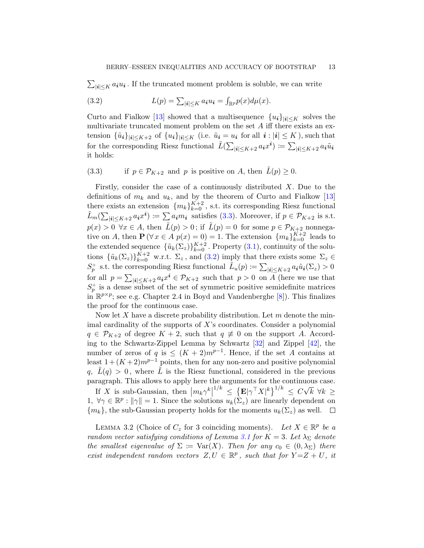$\sum_{|\mathbf{i}| \leq K} a_{\mathbf{i}} u_{\mathbf{i}}$ . If the truncated moment problem is soluble, we can write

<span id="page-12-2"></span>(3.2) 
$$
L(p) = \sum_{|\mathbf{i}| \leq K} a_{\mathbf{i}} u_{\mathbf{i}} = \int_{\mathbb{R}^p} p(x) d\mu(x).
$$

Curto and Fialkow [\[13\]](#page-22-15) showed that a multisequence  ${u_i}_{|i|\leq K}$  solves the multivariate truncated moment problem on the set  $A$  iff there exists an extension  $\{\tilde{u}_i\}_{|i|\leq K+2}$  of  $\{u_i\}_{|i|\leq K}$  (i.e.  $\tilde{u}_i = u_i$  for all  $i:|i|\leq K$ ), such that for the corresponding Riesz functional  $\tilde{L}(\sum_{|i| \le K+2} a_i x^i) \coloneqq \sum_{|i| \le K+2} a_i \tilde{u}_i$ it holds:

<span id="page-12-1"></span>(3.3) if 
$$
p \in \mathcal{P}_{K+2}
$$
 and p is positive on A, then  $\tilde{L}(p) \ge 0$ .

Firstly, consider the case of a continuously distributed  $X$ . Due to the definitions of  $m_k$  and  $u_k$ , and by the theorem of Curto and Fialkow [\[13\]](#page-22-15) there exists an extension  $\{m_k\}_{k=0}^{K+2}$ , s.t. its corresponding Riesz functional  $\tilde{L}_m(\sum_{|\mathbf{i}| \leq K+2} a_{\mathbf{i}} x^{\mathbf{i}}) \coloneqq \sum a_{\mathbf{i}} m_{\mathbf{i}}$  satisfies [\(3.3\)](#page-12-1). Moreover, if  $p \in \mathcal{P}_{K+2}$  is s.t.  $p(x) > 0 \,\forall x \in A$ , then  $\tilde{L}(p) > 0$ ; if  $\tilde{L}(p) = 0$  for some  $p \in \mathcal{P}_{K+2}$  nonnegative on A, then  $\mathbf{P}(\forall x \in A \; p(x) = 0) = 1$ . The extension  $\{m_k\}_{k=0}^{K+2}$  leads to the extended sequence  $\{\tilde{u}_k(\Sigma_z)\}_{k=0}^{K+2}$ . Property [\(3.1\)](#page-11-0), continuity of the solutions  $\{\tilde{u}_k(\Sigma_z)\}_{k=0}^{K+2}$  w.r.t.  $\Sigma_z$ , and  $(3.2)$  imply that there exists some  $\Sigma_z \in$  $S_p^+$  s.t. the corresponding Riesz functional  $\tilde{L}_u(p) \coloneqq \sum_{|i| \leq K+2} a_i \tilde{u}_i(\Sigma_z) > 0$ for all  $p = \sum_{|\mathbf{i}| \leq K+2} a_{\mathbf{i}} x^{\mathbf{i}} \in \mathcal{P}_{K+2}$  such that  $p > 0$  on A (here we use that  $S_p^+$  is a dense subset of the set of symmetric positive semidefinite matrices  $\inf_{m} \mathbb{R}^{p \times p}$ ; see e.g. Chapter 2.4 in Boyd and Vandenberghe [\[8\]](#page-22-16)). This finalizes the proof for the continuous case.

Now let  $X$  have a discrete probability distribution. Let  $m$  denote the minimal cardinality of the supports of  $X$ 's coordinates. Consider a polynomial  $q \in \mathcal{P}_{K+2}$  of degree  $K+2$ , such that  $q \not\equiv 0$  on the support A. According to the Schwartz-Zippel Lemma by Schwartz [\[32\]](#page-23-20) and Zippel [\[42\]](#page-23-21), the number of zeros of q is  $\leq (K+2)m^{p-1}$ . Hence, if the set A contains at least  $1 + (K + 2)m^{p-1}$  points, then for any non-zero and positive polynomial  $q, \tilde{L}(q) > 0$ , where  $\tilde{L}$  is the Riesz functional, considered in the previous paragraph. This allows to apply here the arguments for the continuous case.

If X is sub-Gaussian, then  $|m_k \gamma^k|^{1/k} \leq {\mathbf{E} |\gamma^{\top} X|^k}^{1/k} \leq C\sqrt{\gamma^k}$ 1,  $\forall \gamma \in \mathbb{R}^p : ||\gamma|| = 1$ . Since the solutions  $u_k(\Sigma_z)$  are linearly dependent on  $k \enspace \forall k \geq$  $\{m_k\}$ , the sub-Gaussian property holds for the moments  $u_k(\Sigma_z)$  as well.  $\Box$ 

<span id="page-12-0"></span>LEMMA 3.2 (Choice of  $C_z$  for 3 coinciding moments). Let  $X \in \mathbb{R}^p$  be a random vector satisfying conditions of Lemma [3.1](#page-10-0) for  $K = 3$ . Let  $\lambda_{\Sigma}$  denote the smallest eigenvalue of  $\Sigma := \text{Var}(X)$ . Then for any  $c_0 \in (0, \lambda_{\Sigma})$  there exist independent random vectors  $Z, U \in \mathbb{R}^p$ , such that for  $Y = Z + U$ , it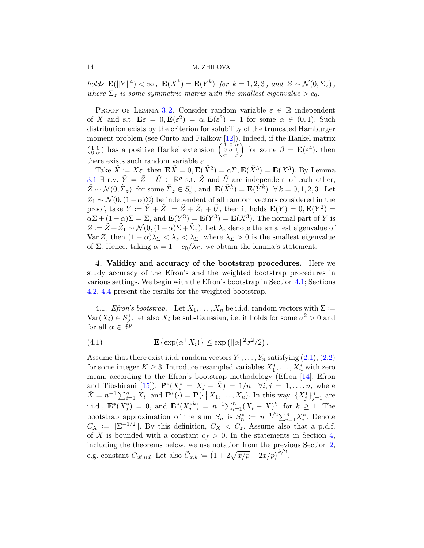holds  $\mathbf{E}(\|Y\|^4) < \infty$ ,  $\mathbf{E}(X^k) = \mathbf{E}(Y^k)$  for  $k = 1, 2, 3$ , and  $Z \sim \mathcal{N}(0, \Sigma_z)$ , where  $\Sigma_z$  is some symmetric matrix with the smallest eigenvalue  $> c_0$ .

PROOF OF LEMMA [3.2.](#page-12-0) Consider random variable  $\varepsilon \in \mathbb{R}$  independent of X and s.t.  $\mathbf{E}\varepsilon = 0$ ,  $\mathbf{E}(\varepsilon^2) = \alpha$ ,  $\mathbf{E}(\varepsilon^3) = 1$  for some  $\alpha \in (0,1)$ . Such distribution exists by the criterion for solubility of the truncated Hamburger moment problem (see Curto and Fialkow [\[12\]](#page-22-17)). Indeed, if the Hankel matrix  $\left(\begin{smallmatrix} 1 & 0 \\ 0 & \alpha \end{smallmatrix}\right)$  has a positive Hankel extension  $\left(\begin{smallmatrix} 1 & 0 & \alpha \\ 0 & \alpha & 1 \\ \alpha & 1 & \beta \end{smallmatrix}\right)$ ) for some  $\beta = \mathbf{E}(\varepsilon^4)$ , then there exists such random variable  $\varepsilon$ .

Take  $\tilde{X} := X\varepsilon$ , then  $\mathbf{E}\tilde{X} = 0$ ,  $\mathbf{E}(\tilde{X}^2) = \alpha \Sigma$ ,  $\mathbf{E}(\tilde{X}^3) = \mathbf{E}(X^3)$ . By Lemma [3.1](#page-10-0)  $\exists$  r.v.  $\tilde{Y} = \tilde{Z} + \tilde{U} \in \mathbb{R}^p$  s.t.  $\tilde{Z}$  and  $\tilde{U}$  are independent of each other,  $\tilde{Z} \sim \mathcal{N}(0, \tilde{\Sigma}_z)$  for some  $\tilde{\Sigma}_z \in S_p^+$ , and  $\mathbf{E}(\tilde{X}^k) = \mathbf{E}(\tilde{Y}^k)$   $\forall k = 0, 1, 2, 3$ . Let  $\tilde{Z}_1 \sim \mathcal{N}(0, (1-\alpha)\Sigma)$  be independent of all random vectors considered in the proof, take  $Y := \tilde{Y} + \tilde{Z}_1 = \tilde{Z} + \tilde{Z}_1 + \tilde{U}$ , then it holds  $\mathbf{E}(Y) = 0, \mathbf{E}(Y^2) = 0$  $\alpha\Sigma + (1-\alpha)\Sigma = \Sigma$ , and  $\mathbf{E}(Y^3) = \mathbf{E}(\tilde{Y}^3) = \mathbf{E}(X^3)$ . The normal part of Y is  $Z := \tilde{Z} + \tilde{Z}_1 \sim \mathcal{N}(0, (1-\alpha)\Sigma + \tilde{\Sigma}_z)$ . Let  $\lambda_z$  denote the smallest eigenvalue of Var Z, then  $(1 - \alpha)\lambda_{\Sigma} < \lambda_{z} < \lambda_{\Sigma}$ , where  $\lambda_{\Sigma} > 0$  is the smallest eigenvalue of Σ. Hence, taking  $\alpha = 1 - c_0/\lambda_{\Sigma}$ , we obtain the lemma's statement.  $\Box$ 

<span id="page-13-0"></span>4. Validity and accuracy of the bootstrap procedures. Here we study accuracy of the Efron's and the weighted bootstrap procedures in various settings. We begin with the Efron's bootstrap in Section [4.1;](#page-13-1) Sections [4.2,](#page-15-0) [4.4](#page-17-0) present the results for the weighted bootstrap.

<span id="page-13-1"></span>4.1. *Efron's bootstrap.* Let  $X_1, \ldots, X_n$  be i.i.d. random vectors with  $\Sigma :=$  $\text{Var}(X_i) \in S_p^+$ , let also  $X_i$  be sub-Gaussian, i.e. it holds for some  $\sigma^2 > 0$  and for all  $\alpha \in \mathbb{R}^p$ 

<span id="page-13-2"></span>(4.1) 
$$
\mathbf{E}\left\{\exp(\alpha^{\top}X_i)\right\} \leq \exp(\|\alpha\|^2 \sigma^2/2).
$$

Assume that there exist i.i.d. random vectors  $Y_1, \ldots, Y_n$  satisfying  $(2.1), (2.2)$  $(2.1), (2.2)$  $(2.1), (2.2)$ for some integer  $K \geq 3$ . Introduce resampled variables  $X_1^*, \ldots, X_n^*$  with zero mean, according to the Efron's bootstrap methodology (Efron [\[14\]](#page-22-0), Efron and Tibshirani [\[15\]](#page-22-18)):  $\mathbf{P}^*(X_i^* = X_j - \bar{X}) = 1/n \quad \forall i, j = 1, \ldots, n$ , where  $\bar{X} = n^{-1} \sum_{i=1}^{n} X_i$ , and  $\mathbf{P}^*(\cdot) = \mathbf{P}(\cdot | X_1, \dots, X_n)$ . In this way,  $\{X_j^*\}_{j=1}^n$  are i.i.d.,  $\mathbf{E}^*(X_j^*) = 0$ , and  $\mathbf{E}^*(X_j^{*k}) = n^{-1}\sum_{i=1}^n (X_i - \bar{X})^k$ , for  $k \ge 1$ . The bootstrap approximation of the sum  $S_n$  is  $S_n^* := n^{-1/2} \sum_{i=1}^n X_i^*$ . Denote  $C_X := \|\Sigma^{-1/2}\|$ . By this definition,  $C_X < C_z$ . Assume also that a p.d.f. of X is bounded with a constant  $c_f > 0$ . In the statements in Section [4,](#page-13-0) including the theorems below, we use notation from the previous Section [2,](#page-7-1) e.g. constant  $C_{\mathscr{B},iid}$ . Let also  $\tilde{C}_{x,k} := (1 + 2\sqrt{x/p} + 2x/p)^{k/2}$ .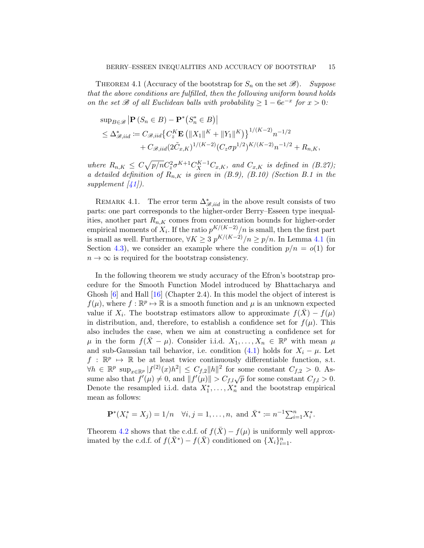<span id="page-14-0"></span>THEOREM 4.1 (Accuracy of the bootstrap for  $S_n$  on the set  $\mathscr{B}$ ). Suppose that the above conditions are fulfilled, then the following uniform bound holds on the set  $\mathscr B$  of all Euclidean balls with probability  $\geq 1-6e^{-x}$  for  $x > 0$ :

$$
\sup_{B \in \mathcal{B}} |\mathbf{P}(S_n \in B) - \mathbf{P}^*(S_n^* \in B)|
$$
  
\n
$$
\leq \Delta_{\mathcal{B},iid}^* := C_{\mathcal{B},iid} \{ C_z^K \mathbf{E} (||X_1||^K + ||Y_1||^K) \}^{1/(K-2)} n^{-1/2}
$$
  
\n
$$
+ C_{\mathcal{B},iid} (2\tilde{C}_{x,K})^{1/(K-2)} (C_z \sigma p^{1/2})^{K/(K-2)} n^{-1/2} + R_{n,K},
$$

where  $R_{n,K} \leq C \sqrt{p/n} C_z^2 \sigma^{K+1} C_X^{K-1} C_{x,K}$ , and  $C_{x,K}$  is defined in (B.27); a detailed definition of  $R_{n,K}$  is given in (B.9), (B.10) (Section B.1 in the supplement  $\vert 41 \vert$ ).

REMARK 4.1. The error term  $\Delta^*_{\mathscr{B},iid}$  in the above result consists of two parts: one part corresponds to the higher-order Berry–Esseen type inequalities, another part  $R_{n,K}$  comes from concentration bounds for higher-order empirical moments of  $X_i$ . If the ratio  $p^{K/(K-2)}/n$  is small, then the first part is small as well. Furthermore,  $\forall K \geq 3 \ p^{K/(K-2)}/n \geq p/n$ . In Lemma [4.1](#page-16-2) (in Section [4.3\)](#page-16-1), we consider an example where the condition  $p/n = o(1)$  for  $n \to \infty$  is required for the bootstrap consistency.

In the following theorem we study accuracy of the Efron's bootstrap procedure for the Smooth Function Model introduced by Bhattacharya and Ghosh  $[6]$  and Hall  $[16]$  (Chapter 2.4). In this model the object of interest is  $f(\mu)$ , where  $f : \mathbb{R}^p \to \mathbb{R}$  is a smooth function and  $\mu$  is an unknown expected value if  $X_i$ . The bootstrap estimators allow to approximate  $f(\bar{X}) - f(\mu)$ in distribution, and, therefore, to establish a confidence set for  $f(\mu)$ . This also includes the case, when we aim at constructing a confidence set for  $\mu$  in the form  $f(\bar{X} - \mu)$ . Consider i.i.d.  $X_1, \ldots, X_n \in \mathbb{R}^p$  with mean  $\mu$ and sub-Gaussian tail behavior, i.e. condition [\(4.1\)](#page-13-2) holds for  $X_i - \mu$ . Let  $f : \mathbb{R}^p \mapsto \mathbb{R}$  be at least twice continuously differentiable function, s.t.  $\forall h \in \mathbb{R}^p \sup_{x \in \mathbb{R}^p} |f^{(2)}(x)h^2| \leq C_{f,2} ||h||^2$  for some constant  $C_{f,2} > 0$ . Assume also that  $f'(\mu) \neq 0$ , and  $||f'(\mu)|| > C_{f,l}\sqrt{p}$  for some constant  $C_{f,l} > 0$ . Denote the resampled i.i.d. data  $X_1^*, \ldots, X_n^*$  and the bootstrap empirical mean as follows:

$$
\mathbf{P}^*(X_i^* = X_j) = 1/n \quad \forall i, j = 1, \dots, n, \text{ and } \bar{X}^* := n^{-1} \sum_{i=1}^n X_i^*.
$$

Theorem [4.2](#page-15-1) shows that the c.d.f. of  $f(X) - f(\mu)$  is uniformly well approximated by the c.d.f. of  $f(\bar{X}^*) - f(\bar{X})$  conditioned on  $\{X_i\}_{i=1}^n$ .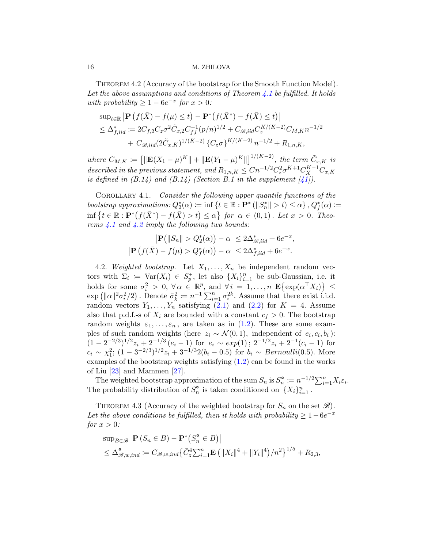<span id="page-15-1"></span>Theorem 4.2 (Accuracy of the bootstrap for the Smooth Function Model). Let the above assumptions and conditions of Theorem [4.1](#page-14-0) be fulfilled. It holds with probability  $\geq 1 - 6e^{-x}$  for  $x > 0$ :

$$
\sup_{t \in \mathbb{R}} |\mathbf{P}(f(\bar{X}) - f(\mu) \le t) - \mathbf{P}^*(f(\bar{X}^*) - f(\bar{X}) \le t)|
$$
  
\n
$$
\le \Delta_{f,iid}^* := 2C_{f,2} C_z \sigma^2 \tilde{C}_{x,2} C_{f,l}^{-1} (p/n)^{1/2} + C_{\mathcal{B},iid} C_z^{K/(K-2)} C_{M,K} n^{-1/2}
$$
  
\n
$$
+ C_{\mathcal{B},iid} (2\tilde{C}_{x,K})^{1/(K-2)} \{C_z \sigma\}^{K/(K-2)} n^{-1/2} + R_{1,n,K},
$$

where  $C_{M,K} := \left[ \|\mathbf{E}(X_1-\mu)^K\| + \|\mathbf{E}(Y_1-\mu)^K\| \right]^{1/(K-2)}$ , the term  $\tilde{C}_{x,K}$  is described in the previous statement, and  $R_{1,n,K} \leq C n^{-1/2} C_z^2 \sigma^{K+1} C_X^{K-1} C_{x,K}$ is defined in  $(B.14)$  and  $(B.14)$  (Section B.1 in the supplement  $[41]$ ).

COROLLARY 4.1. Consider the following upper quantile functions of the bootstrap approximations:  $Q_2^*(\alpha) \coloneqq \inf \{ t \in \mathbb{R} : \mathbf{P}^* (\|\mathbf{S}_n^*\| > t) \leq \alpha \}, Q_f^*(\alpha) \coloneqq$  $\inf \{ t \in \mathbb{R} : \mathbf{P}^*(f(\bar{X}^*) - f(\bar{X}) > t) \leq \alpha \}$  for  $\alpha \in (0,1)$ . Let  $x > 0$ . Theorems  $\angle 4.1$  $\angle 4.1$  and  $\angle 4.2$  $\angle 4.2$  imply the following two bounds:

$$
\left|\mathbf{P}\left(\|S_n\| > Q_2^*(\alpha)\right) - \alpha\right| \le 2\Delta_{\mathcal{B},iid}^* + 6e^{-x},
$$
  

$$
\left|\mathbf{P}\left(f(\bar{X}) - f(\mu) > Q_f^*(\alpha)\right) - \alpha\right| \le 2\Delta_{f, iid}^* + 6e^{-x}.
$$

<span id="page-15-0"></span>4.2. Weighted bootstrap. Let  $X_1, \ldots, X_n$  be independent random vectors with  $\Sigma_i := \text{Var}(X_i) \in S_p^+$ , let also  $\{X_i\}_{i=1}^n$  be sub-Gaussian, i.e. it holds for some  $\sigma_i^2 > 0$ ,  $\forall \alpha \in \mathbb{R}^p$ , and  $\forall i = 1, ..., n$   $\mathbf{E}\{\exp(\alpha^\top X_i)\} \leq$  $\exp\left(\|\alpha\|^2 \sigma_i^2/2\right)$ . Denote  $\bar{\sigma}_k^2 \coloneqq n^{-1} \sum_{i=1}^n \sigma_i^{2k}$ . Assume that there exist i.i.d. random vectors  $Y_1, \ldots, Y_n$  satisfying  $(2.1)$  and  $(2.2)$  for  $K = 4$ . Assume also that p.d.f.-s of  $X_i$  are bounded with a constant  $c_f > 0$ . The bootstrap random weights  $\varepsilon_1, \ldots, \varepsilon_n$ , are taken as in [\(1.2\)](#page-1-2). These are some examples of such random weights (here  $z_i \sim \mathcal{N}(0,1)$ , independent of  $e_i, c_i, b_i$ ):  $(1-2^{-2/3})^{1/2}z_i+2^{-1/3} (e_i-1)$  for  $e_i \sim exp(1); 2^{-1/2}z_i+2^{-1}(c_i-1)$  for  $c_i \sim \chi_1^2$ ;  $(1-3^{-2/3})^{1/2}z_i + 3^{-1/3}2(b_i - 0.5)$  for  $b_i \sim Bernoulli(0.5)$ . More examples of the bootstrap weights satisfying [\(1.2\)](#page-1-2) can be found in the works of Liu [\[23\]](#page-23-5) and Mammen [\[27\]](#page-23-1).

The weighted bootstrap approximation of the sum  $S_n$  is  $S_n^{\bullet} := n^{-1/2} \sum_{i=1}^n X_i \varepsilon_i$ . The probability distribution of  $S_n^{\circ}$  is taken conditioned on  $\{X_i\}_{i=1}^n$ .

<span id="page-15-2"></span>THEOREM 4.3 (Accuracy of the weighted bootstrap for  $S_n$  on the set  $\mathscr{B}$ ). Let the above conditions be fulfilled, then it holds with probability  $\geq 1-6e^{-x}$ for  $x > 0$ :

$$
\sup_{B \in \mathcal{B}} |\mathbf{P}(S_n \in B) - \mathbf{P}^*(S_n^{\bullet} \in B)|
$$
  
\n
$$
\leq \Delta_{\mathcal{B},w,ind}^{\bullet} := C_{\mathcal{B},w,ind} \{ \bar{C}_z^4 \sum_{i=1}^n \mathbf{E} \left( ||X_i||^4 + ||Y_i||^4 \right) / n^2 \}^{1/5} + R_{2,3},
$$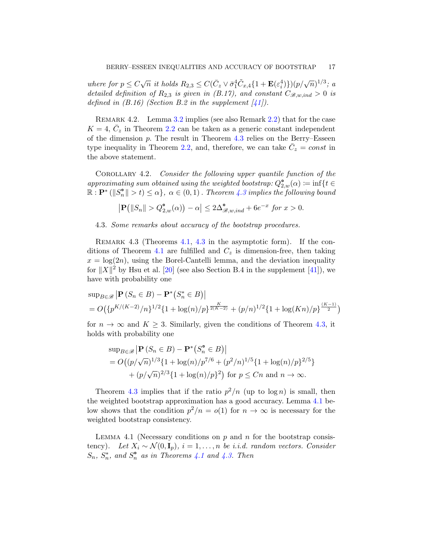where for  $p \le C\sqrt{n}$  it holds  $R_{2,3} \le C(\bar{C}_z \vee \bar{\sigma}_1^4 \tilde{C}_{x,4} \{1 + \mathbf{E}(\varepsilon_i^4)\}) (p/\sqrt{n})^{1/3}$ ; a detailed definition of  $R_{2,3}$  is given in (B.17), and constant  $C_{\mathscr{B},w,ind} > 0$  is defined in  $(B.16)$  (Section B.2 in the supplement  $\left[41\right]$ ).

Remark 4.2. Lemma [3.2](#page-12-0) implies (see also Remark [2.2\)](#page-8-2) that for the case  $K = 4, \bar{C}_z$  in Theorem [2.2](#page-9-1) can be taken as a generic constant independent of the dimension  $p$ . The result in Theorem [4.3](#page-15-2) relies on the Berry–Esseen type inequality in Theorem [2.2,](#page-9-1) and, therefore, we can take  $\bar{C}_z = const$  in the above statement.

COROLLARY 4.2. Consider the following upper quantile function of the approximating sum obtained using the weighted bootstrap:  $Q_{2,w}^{\bullet}(\alpha) \coloneqq \inf\{t \in$  $\mathbb{R}: \mathbf{P}^* \left( \Vert S_n^{\bullet} \Vert > t \right) \leq \alpha \}, \ \alpha \in (0,1)$ . Theorem [4.3](#page-15-2) implies the following bound

$$
\left|\mathbf{P}\left(\|S_n\| > Q_{2,w}^{\bullet}(\alpha)\right) - \alpha\right| \le 2\Delta_{\mathscr{B},w,ind}^{\bullet} + 6e^{-x} \text{ for } x > 0.
$$

<span id="page-16-1"></span>4.3. Some remarks about accuracy of the bootstrap procedures.

<span id="page-16-0"></span>REMARK 4.3 (Theorems [4.1,](#page-14-0) [4.3](#page-15-2) in the asymptotic form). If the con-ditions of Theorem [4.1](#page-14-0) are fulfilled and  $C_z$  is dimension-free, then taking  $x = \log(2n)$ , using the Borel-Cantelli lemma, and the deviation inequality for  $||X||^2$  by Hsu et al. [\[20\]](#page-22-19) (see also Section B.4 in the supplement [\[41\]](#page-23-18)), we have with probability one

$$
\sup_{B \in \mathcal{B}} |\mathbf{P}(S_n \in B) - \mathbf{P}^*(S_n^* \in B)|
$$
  
=  $O(\{p^{K/(K-2)}/n\}^{1/2}\{1 + \log(n)/p\}^{\frac{K}{2(K-2)}} + (p/n)^{1/2}\{1 + \log(Kn)/p\}^{\frac{(K-1)}{2}})$ 

for  $n \to \infty$  and  $K > 3$ . Similarly, given the conditions of Theorem [4.3,](#page-15-2) it holds with probability one

$$
\sup_{B \in \mathcal{B}} |\mathbf{P}(S_n \in B) - \mathbf{P}^*(S_n^{\bullet} \in B)|
$$
  
=  $O((p/\sqrt{n})^{1/3} \{1 + \log(n)/p^{7/6} + (p^2/n)^{1/5} \{1 + \log(n)/p\}^{2/5}\} + (p/\sqrt{n})^{2/3} \{1 + \log(n)/p\}^2)$  for  $p \le Cn$  and  $n \to \infty$ .

Theorem [4.3](#page-15-2) implies that if the ratio  $p^2/n$  (up to  $\log n$ ) is small, then the weighted bootstrap approximation has a good accuracy. Lemma [4.1](#page-16-2) below shows that the condition  $p^2/n = o(1)$  for  $n \to \infty$  is necessary for the weighted bootstrap consistency.

<span id="page-16-2"></span>LEMMA 4.1 (Necessary conditions on p and n for the bootstrap consistency). Let  $X_i \sim \mathcal{N}(0, \mathbf{I}_n)$ ,  $i = 1, \ldots, n$  be i.i.d. random vectors. Consider  $S_n$ ,  $S_n^*$ , and  $S_n^{\bullet}$  as in Theorems [4.1](#page-14-0) and [4.3.](#page-15-2) Then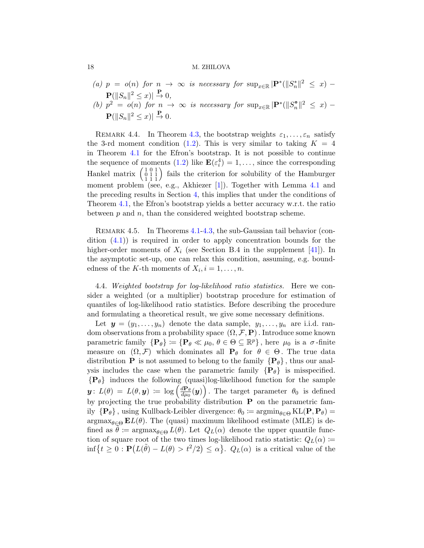- (a)  $p = o(n)$  for  $n \to \infty$  is necessary for  $\sup_{x \in \mathbb{R}} |\mathbf{P}^*(||S^*_n||^2 \leq x)$  $\mathbf{P}(\|S_n\|^2 \leq x) \vert \overset{\mathbf{P}}{\to} 0,$
- (b)  $p^2 = o(n)$  for  $n \to \infty$  is necessary for  $\sup_{x \in \mathbb{R}} |\mathbf{P}^*(||S_n^{\circ}||^2 \leq x)$  $\mathbf{P}(\|S_n\|^2 \leq x) \vert \overset{\mathbf{P}}{\to} 0.$

REMARK 4.4. In Theorem [4.3,](#page-15-2) the bootstrap weights  $\varepsilon_1, \ldots, \varepsilon_n$  satisfy the 3-rd moment condition [\(1.2\)](#page-1-2). This is very similar to taking  $K = 4$ in Theorem [4.1](#page-14-0) for the Efron's bootstrap. It is not possible to continue the sequence of moments [\(1.2\)](#page-1-2) like  $\mathbf{E}(\varepsilon_i^4) = 1, \ldots$ , since the corresponding Hankel matrix  $\begin{pmatrix} 1 & 0 & 1 \\ 0 & 1 & 1 \\ 1 & 1 & 1 \end{pmatrix}$  fails the criterion for solubility of the Hamburger moment problem (see, e.g., Akhiezer [\[1\]](#page-22-20)). Together with Lemma [4.1](#page-16-2) and the preceding results in Section [4,](#page-13-0) this implies that under the conditions of Theorem [4.1,](#page-14-0) the Efron's bootstrap yields a better accuracy w.r.t. the ratio between  $p$  and  $n$ , than the considered weighted bootstrap scheme.

REMARK 4.5. In Theorems [4.1](#page-14-0)[-4.3,](#page-15-2) the sub-Gaussian tail behavior (condition  $(4.1)$  is required in order to apply concentration bounds for the higher-order moments of  $X_i$  (see Section B.4 in the supplement [\[41\]](#page-23-18)). In the asymptotic set-up, one can relax this condition, assuming, e.g. boundedness of the K-th moments of  $X_i$ ,  $i = 1, \ldots, n$ .

<span id="page-17-0"></span>4.4. Weighted bootstrap for log-likelihood ratio statistics. Here we consider a weighted (or a multiplier) bootstrap procedure for estimation of quantiles of log-likelihood ratio statistics. Before describing the procedure and formulating a theoretical result, we give some necessary definitions.

Let  $y = (y_1, \ldots, y_n)$  denote the data sample,  $y_1, \ldots, y_n$  are i.i.d. random observations from a probability space  $(\Omega, \mathcal{F}, P)$ . Introduce some known parametric family  $\{P_\theta\} \coloneqq \{P_\theta \ll \mu_0, \theta \in \Theta \subseteq \mathbb{R}^p\}$ , here  $\mu_0$  is a  $\sigma$ -finite measure on  $(\Omega, \mathcal{F})$  which dominates all  $P_{\theta}$  for  $\theta \in \Theta$ . The true data distribution **P** is not assumed to belong to the family  $\{P_{\theta}\}\$ , thus our analysis includes the case when the parametric family  $\{P_\theta\}$  is misspecified.  ${P_{\theta}}$  induces the following (quasi)log-likelihood function for the sample  $\mathbf{y} \colon L(\theta) = L(\theta, \mathbf{y}) \coloneqq \log \left( \frac{d \mathbf{P}_{\theta}}{d \mu_{\theta}} \right)$  $\frac{d\mathbf{P}_{\theta}}{d\mu_{0}}(\boldsymbol{y})\Big)$ . The target parameter  $\theta_{0}$  is defined by projecting the true probability distribution P on the parametric family  $\{P_\theta\}$ , using Kullback-Leibler divergence:  $\theta_0 \coloneqq \operatorname{argmin}_{\theta \in \Theta} KL(P, P_\theta)$  $argmax_{\theta \in \Theta} EL(\theta)$ . The (quasi) maximum likelihood estimate (MLE) is defined as  $\theta := \argmax_{\theta \in \Theta} L(\theta)$ . Let  $Q_L(\alpha)$  denote the upper quantile function of square root of the two times log-likelihood ratio statistic:  $Q_L(\alpha)$  :=  $\inf\{t\geq 0: \mathbf{P}(L(\tilde{\theta})-L(\theta)>t^2/2)\leq \alpha\}$ .  $Q_L(\alpha)$  is a critical value of the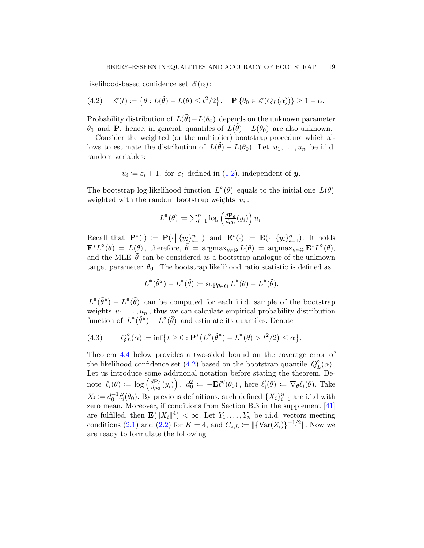likelihood-based confidence set  $\mathscr{E}(\alpha)$ :

<span id="page-18-0"></span>(4.2) 
$$
\mathscr{E}(t) \coloneqq \left\{ \theta : L(\tilde{\theta}) - L(\theta) \leq t^2/2 \right\}, \quad \mathbf{P} \left\{ \theta_0 \in \mathscr{E}(Q_L(\alpha)) \right\} \geq 1 - \alpha.
$$

Probability distribution of  $L(\tilde{\theta}) - L(\theta_0)$  depends on the unknown parameter  $\theta_0$  and **P**, hence, in general, quantiles of  $L(\tilde{\theta}) - L(\theta_0)$  are also unknown.

Consider the weighted (or the multiplier) bootstrap procedure which allows to estimate the distribution of  $\tilde{L}(\tilde{\theta}) - L(\theta_0)$ . Let  $u_1, \ldots, u_n$  be i.i.d. random variables:

$$
u_i := \varepsilon_i + 1
$$
, for  $\varepsilon_i$  defined in (1.2), independent of **y**.

The bootstrap log-likelihood function  $L^{\bullet}(\theta)$  equals to the initial one  $L(\theta)$ weighted with the random bootstrap weights  $u_i$ :

$$
L^{\bullet}(\theta) \coloneqq \sum_{i=1}^{n} \log \left( \frac{d\mathbf{P}_{\theta}}{d\mu_{0}}(y_{i}) \right) u_{i}.
$$

Recall that  $\mathbf{P}^*(\cdot) := \mathbf{P}(\cdot | \{y_i\}_{i=1}^n)$  and  $\mathbf{E}^*(\cdot) := \mathbf{E}(\cdot | \{y_i\}_{i=1}^n)$ . It holds  $\mathbf{E}^* L^{\bullet}(\theta) = L(\theta)$ , therefore,  $\tilde{\theta} = \operatorname{argmax}_{\theta \in \Theta} L(\theta) = \operatorname{argmax}_{\theta \in \Theta} \mathbf{E}^* L^{\bullet}(\theta)$ , and the MLE  $\theta$  can be considered as a bootstrap analogue of the unknown target parameter  $\theta_0$ . The bootstrap likelihood ratio statistic is defined as

$$
L^{\circ}(\tilde{\theta}^{\circ})-L^{\circ}(\tilde{\theta})\coloneqq \sup\nolimits_{\theta \in \Theta} L^{\circ}(\theta)-L^{\circ}(\tilde{\theta}).
$$

 $L^{\bullet}(\tilde{\theta}^{\bullet}) - L^{\bullet}(\tilde{\theta})$  can be computed for each i.i.d. sample of the bootstrap weights  $u_1, \ldots, u_n$ , thus we can calculate empirical probability distribution function of  $L^{\circ}(\tilde{\theta}^{\circ}) - L^{\circ}(\tilde{\theta})$  and estimate its quantiles. Denote

(4.3) 
$$
Q_L^{\circ}(\alpha) := \inf \{ t \ge 0 : \mathbf{P}^*(L^{\circ}(\tilde{\theta}^{\circ}) - L^{\circ}(\theta) > t^2/2 \} \le \alpha \}.
$$

Theorem [4.4](#page-19-1) below provides a two-sided bound on the coverage error of the likelihood confidence set [\(4.2\)](#page-18-0) based on the bootstrap quantile  $Q_L^{\bullet}(\alpha)$ . Let us introduce some additional notation before stating the theorem. Denote  $\ell_i(\theta) \coloneqq \log \left( \frac{d\mathbf{P}_{\theta}}{d\mu_0} \right)$  $\left(\frac{d\mathbf{P}_{\theta}}{d\mu_{0}}(y_{i})\right)$ ,  $d_{0}^{2} \coloneqq -\mathbf{E}\ell_{1}''(\theta_{0})$ , here  $\ell_{i}'(\theta) \coloneqq \nabla_{\theta}\ell_{i}(\theta)$ . Take  $X_i := d_0^{-1} \ell_i'(\theta_0)$ . By previous definitions, such defined  $\{X_i\}_{i=1}^n$  are i.i.d with zero mean. Moreover, if conditions from Section B.3 in the supplement [\[41\]](#page-23-18) are fulfilled, then  $\mathbf{E}(\|X_i\|^4) < \infty$ . Let  $Y_1, \ldots, Y_n$  be i.i.d. vectors meeting conditions [\(2.1\)](#page-7-3) and [\(2.2\)](#page-7-4) for  $K = 4$ , and  $C_{z,L} := ||{\rm{Var}}(Z_i)|^{-1/2}||$ . Now we are ready to formulate the following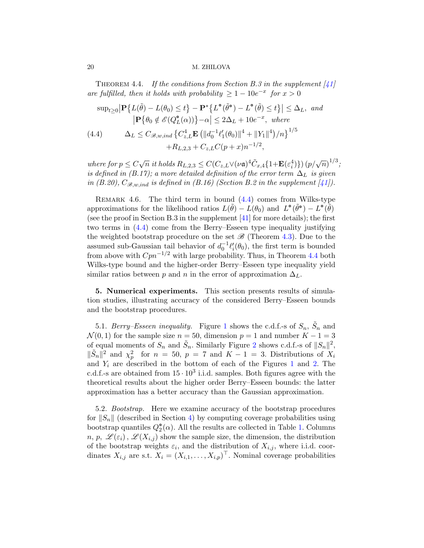<span id="page-19-1"></span>THEOREM 4.4. If the conditions from Section B.3 in the supplement  $[41]$ are fulfilled, then it holds with probability  $\geq 1 - 10e^{-x}$  for  $x > 0$ 

<span id="page-19-2"></span>
$$
\sup_{t\geq 0} \left| \mathbf{P} \left\{ L(\tilde{\theta}) - L(\theta_0) \leq t \right\} - \mathbf{P}^* \left\{ L^{\bullet}(\tilde{\theta}^{\bullet}) - L^{\bullet}(\tilde{\theta}) \leq t \right\} \right| \leq \Delta_L, \text{ and}
$$
  
\n
$$
\left| \mathbf{P} \left\{ \theta_0 \notin \mathcal{E}(Q_L^{\bullet}(\alpha)) \right\} - \alpha \right| \leq 2\Delta_L + 10e^{-x}, \text{ where}
$$
  
\n(4.4) 
$$
\Delta_L \leq C_{\mathcal{B},w,ind} \left\{ C_{z,L}^4 \mathbf{E} \left( ||d_0^{-1} \ell_1'(\theta_0)||^4 + ||Y_1||^4 \right) / n \right\}^{1/5}
$$
  
\n
$$
+ R_{L,2,3} + C_{z,L} C(p+x) n^{-1/2},
$$

where for  $p \le C \sqrt{n}$  it holds  $R_{L,2,3} \le C (C_{z,L} \vee (\nu \mathfrak{a})^4 \tilde{C}_{x,4} \{1 + \mathbf{E}(\varepsilon_i^4)\}) (p/\sqrt{n})^{1/3}$ ; is defined in (B.17); a more detailed definition of the error term  $\Delta_L$  is given in (B.20),  $C_{\mathcal{B},w,ind}$  is defined in (B.16) (Section B.2 in the supplement [\[41\]](#page-23-18)).

REMARK 4.6. The third term in bound  $(4.4)$  comes from Wilks-type approximations for the likelihood ratios  $L(\tilde{\theta}) - L(\theta_0)$  and  $L^{\circ}(\tilde{\theta}^{\circ}) - L^{\circ}(\tilde{\theta})$ (see the proof in Section B.3 in the supplement [\[41\]](#page-23-18) for more details); the first two terms in [\(4.4\)](#page-19-2) come from the Berry–Esseen type inequality justifying the weighted bootstrap procedure on the set  $\mathscr{B}$  (Theorem [4.3\)](#page-15-2). Due to the assumed sub-Gaussian tail behavior of  $d_0^{-1}\ell_i'(\theta_0)$ , the first term is bounded from above with  $Cpn^{-1/2}$  with large probability. Thus, in Theorem [4.4](#page-19-1) both Wilks-type bound and the higher-order Berry–Esseen type inequality yield similar ratios between p and n in the error of approximation  $\Delta_L$ .

<span id="page-19-0"></span>5. Numerical experiments. This section presents results of simulation studies, illustrating accuracy of the considered Berry–Esseen bounds and the bootstrap procedures.

5.[1](#page-20-0). Berry–Esseen inequality. Figure 1 shows the c.d.f.-s of  $S_n$ ,  $\tilde{S}_n$  and  $\mathcal{N}(0, 1)$  for the sample size  $n = 50$ , dimension  $p = 1$  and number  $K - 1 = 3$ of equal moments of  $S_n$  and  $\tilde{S}_n$ . Similarly Figure [2](#page-20-1) shows c.d.f.-s of  $||S_n||^2$ ,  $\|\tilde{S}_n\|^2$  and  $\chi_p^2$  for  $n = 50$ ,  $p = 7$  and  $K - 1 = 3$ . Distributions of  $X_i$ and  $Y_i$  are described in the bottom of each of the Figures [1](#page-20-0) and [2.](#page-20-1) The c.d.f.-s are obtained from  $15 \cdot 10^3$  i.i.d. samples. Both figures agree with the theoretical results about the higher order Berry–Esseen bounds: the latter approximation has a better accuracy than the Gaussian approximation.

5.2. Bootstrap. Here we examine accuracy of the bootstrap procedures for  $||S_n||$  (described in Section [4\)](#page-13-0) by computing coverage probabilities using bootstrap quantiles  $Q_2^{\bullet}(\alpha)$ . All the results are collected in Table [1.](#page-21-0) Columns  $n, p, \mathscr{L}(\varepsilon_i), \mathscr{L}(X_{i,j})$  show the sample size, the dimension, the distribution of the bootstrap weights  $\varepsilon_i$ , and the distribution of  $X_{i,j}$ , where i.i.d. coordinates  $X_{i,j}$  are s.t.  $X_i = (X_{i,1}, \ldots, X_{i,p})^\top$ . Nominal coverage probabilities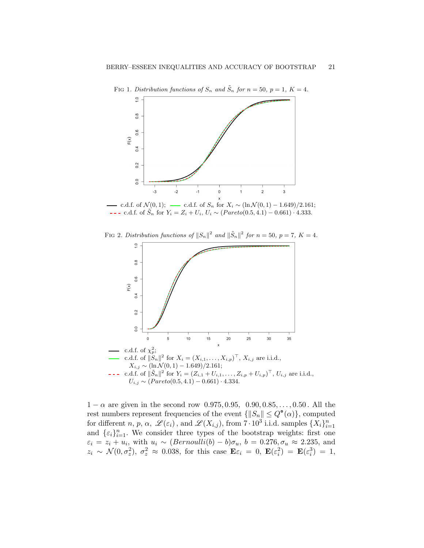<span id="page-20-0"></span>

FIG 1. Distribution functions of  $S_n$  and  $\tilde{S}_n$  for  $n = 50$ ,  $p = 1$ ,  $K = 4$ .



FIG 2. Distribution functions of  $||S_n||^2$  and  $||\tilde{S}_n||^2$  for  $n = 50$ ,  $p = 7$ ,  $K = 4$ .

<span id="page-20-1"></span>

 $1 - \alpha$  are given in the second row 0.975, 0.95, 0.90, 0.85, ..., 0.50. All the rest numbers represent frequencies of the event  $\{\|S_n\| \leq Q^{\bullet}(\alpha)\}\)$ , computed for different n, p,  $\alpha$ ,  $\mathscr{L}(\varepsilon_i)$ , and  $\mathscr{L}(X_{i,j})$ , from  $7 \cdot 10^3$  i.i.d. samples  $\{X_i\}_{i=1}^n$ and  $\{\varepsilon_i\}_{i=1}^n$ . We consider three types of the bootstrap weights: first one  $\varepsilon_i = z_i + u_i$ , with  $u_i \sim (Bernoulli(b) - b)\sigma_u$ ,  $b = 0.276, \sigma_u \approx 2.235$ , and  $z_i \sim \mathcal{N}(0, \sigma_z^2), \sigma_z^2 \approx 0.038$ , for this case  $\mathbf{E} \varepsilon_i = 0, \ \mathbf{E}(\varepsilon_i^2) = \mathbf{E}(\varepsilon_i^3) = 1$ ,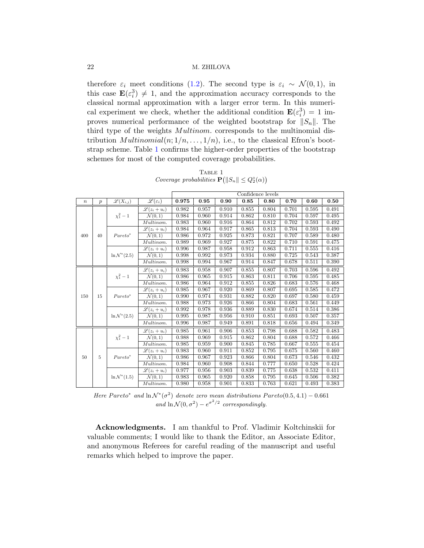therefore  $\varepsilon_i$  meet conditions [\(1.2\)](#page-1-2). The second type is  $\varepsilon_i \sim \mathcal{N}(0,1)$ , in this case  $\mathbf{E}(\varepsilon_i^3) \neq 1$ , and the approximation accuracy corresponds to the classical normal approximation with a larger error term. In this numerical experiment we check, whether the additional condition  $\mathbf{E}(\varepsilon_i^3) = 1$  improves numerical performance of the weighted bootstrap for  $||S_n||$ . The third type of the weights *Multinom*. corresponds to the multinomial distribution  $Multinomial(n; 1/n, \ldots, 1/n)$ , i.e., to the classical Efron's bootstrap scheme. Table [1](#page-21-0) confirms the higher-order properties of the bootstrap schemes for most of the computed coverage probabilities.

<span id="page-21-0"></span>

|        |                  |                                   |                              | Confidence levels |       |       |       |       |       |       |       |
|--------|------------------|-----------------------------------|------------------------------|-------------------|-------|-------|-------|-------|-------|-------|-------|
| $\, n$ | $\boldsymbol{p}$ | $\overline{\mathscr{L}}(X_{i,j})$ | $\mathscr{L}(\varepsilon_i)$ | 0.975             | 0.95  | 0.90  | 0.85  | 0.80  | 0.70  | 0.60  | 0.50  |
| 400    | 40               | $\chi_1^2 - 1$                    | $\mathscr{L}(z_i+u_i)$       | 0.982             | 0.957 | 0.910 | 0.855 | 0.804 | 0.701 | 0.595 | 0.491 |
|        |                  |                                   | $\mathcal{N}(0,1)$           | 0.984             | 0.960 | 0.914 | 0.862 | 0.810 | 0.704 | 0.597 | 0.495 |
|        |                  |                                   | Multinom.                    | 0.983             | 0.960 | 0.916 | 0.864 | 0.812 | 0.702 | 0.593 | 0.492 |
|        |                  | $Pareto^*$                        | $\mathscr{L}(z_i+u_i)$       | 0.984             | 0.964 | 0.917 | 0.865 | 0.813 | 0.704 | 0.593 | 0.490 |
|        |                  |                                   | $\mathcal{N}(0,1)$           | 0.986             | 0.972 | 0.925 | 0.873 | 0.821 | 0.707 | 0.589 | 0.480 |
|        |                  |                                   | Multinom.                    | 0.989             | 0.969 | 0.927 | 0.875 | 0.822 | 0.710 | 0.591 | 0.475 |
|        |                  | $\ln \mathcal{N}^*(2.5)$          | $\mathscr{L}(z_i+u_i)$       | 0.996             | 0.987 | 0.958 | 0.912 | 0.863 | 0.711 | 0.555 | 0.416 |
|        |                  |                                   | $\mathcal{N}(0,1)$           | 0.998             | 0.992 | 0.973 | 0.934 | 0.880 | 0.725 | 0.543 | 0.387 |
|        |                  |                                   | Multinom.                    | 0.998             | 0.994 | 0.967 | 0.914 | 0.847 | 0.678 | 0.511 | 0.390 |
| 150    | 15               | $\chi^{2}_{1} - 1$                | $\mathscr{L}(z_i+u_i)$       | 0.983             | 0.958 | 0.907 | 0.855 | 0.807 | 0.703 | 0.596 | 0.492 |
|        |                  |                                   | $\mathcal{N}(0,1)$           | 0.986             | 0.965 | 0.915 | 0.863 | 0.811 | 0.706 | 0.595 | 0.485 |
|        |                  |                                   | Multinom.                    | 0.986             | 0.964 | 0.912 | 0.855 | 0.826 | 0.683 | 0.576 | 0.468 |
|        |                  | $Pareto^*$                        | $\mathscr{L}(z_i+u_i)$       | 0.985             | 0.967 | 0.920 | 0.869 | 0.807 | 0.695 | 0.585 | 0.472 |
|        |                  |                                   | $\mathcal{N}(0,1)$           | 0.990             | 0.974 | 0.931 | 0.882 | 0.820 | 0.697 | 0.580 | 0.459 |
|        |                  |                                   | Multinom.                    | 0.988             | 0.973 | 0.926 | 0.866 | 0.804 | 0.683 | 0.561 | 0.449 |
|        |                  | $\ln \mathcal{N}^*(2.5)$          | $\mathscr{L}(z_i+u_i)$       | 0.992             | 0.978 | 0.936 | 0.889 | 0.830 | 0.674 | 0.514 | 0.386 |
|        |                  |                                   | $\mathcal{N}(0,1)$           | 0.995             | 0.987 | 0.956 | 0.910 | 0.851 | 0.693 | 0.507 | 0.357 |
|        |                  |                                   | Multinom.                    | 0.996             | 0.987 | 0.949 | 0.891 | 0.818 | 0.656 | 0.494 | 0.349 |
| 50     | 5                | $\chi_{1}^{2} - 1$                | $\mathscr{L}(z_i+u_i)$       | 0.985             | 0.961 | 0.906 | 0.853 | 0.798 | 0.688 | 0.582 | 0.483 |
|        |                  |                                   | $\mathcal{N}(0,1)$           | 0.988             | 0.969 | 0.915 | 0.862 | 0.804 | 0.688 | 0.572 | 0.466 |
|        |                  |                                   | Multinom.                    | 0.985             | 0.959 | 0.900 | 0.845 | 0.785 | 0.667 | 0.555 | 0.454 |
|        |                  | $Pareto^*$                        | $\mathscr{L}(z_i+u_i)$       | 0.983             | 0.960 | 0.911 | 0.852 | 0.795 | 0.675 | 0.560 | 0.460 |
|        |                  |                                   | $\mathcal{N}(0,1)$           | 0.986             | 0.967 | 0.923 | 0.866 | 0.804 | 0.673 | 0.546 | 0.432 |
|        |                  |                                   | Multinom.                    | 0.984             | 0.960 | 0.908 | 0.844 | 0.777 | 0.650 | 0.528 | 0.424 |
|        |                  | $\ln \mathcal{N}^*(1.5)$          | $\mathscr{L}(z_i+u_i)$       | 0.977             | 0.956 | 0.903 | 0.839 | 0.775 | 0.638 | 0.532 | 0.411 |
|        |                  |                                   | $\mathcal{N}(0,1)$           | 0.983             | 0.965 | 0.920 | 0.858 | 0.795 | 0.645 | 0.506 | 0.382 |
|        |                  |                                   | Multinom.                    | 0.980             | 0.958 | 0.901 | 0.833 | 0.763 | 0.621 | 0.493 | 0.383 |

TABLE 1 Coverage probabilities  $\mathbf{P}(|S_n| \leq Q_2^{\circ}(\alpha))$ 

Here Pareto\* and  $\ln \mathcal{N}^*(\sigma^2)$  denote zero mean distributions Pareto(0.5, 4.1) – 0.661 and  $\ln \mathcal{N}(0, \sigma^2) - e^{\sigma^2/2}$  correspondingly.

Acknowledgments. I am thankful to Prof. Vladimir Koltchinskii for valuable comments; I would like to thank the Editor, an Associate Editor, and anonymous Referees for careful reading of the manuscript and useful remarks which helped to improve the paper.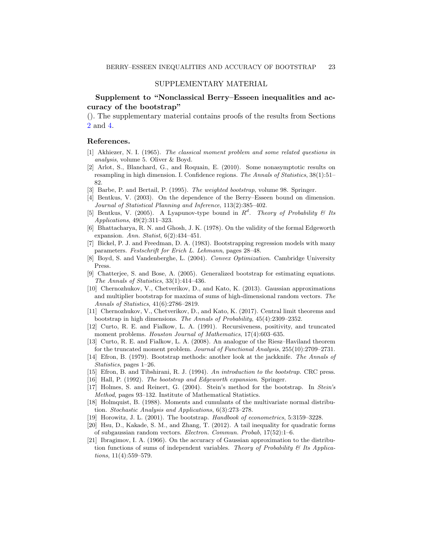# SUPPLEMENTARY MATERIAL

Supplement to "Nonclassical Berry–Esseen inequalities and accuracy of the bootstrap"

(). The supplementary material contains proofs of the results from Sections [2](#page-7-1) and [4.](#page-13-0)

# References.

- <span id="page-22-20"></span>[1] Akhiezer, N. I. (1965). The classical moment problem and some related questions in analysis, volume 5. Oliver & Boyd.
- <span id="page-22-6"></span>[2] Arlot, S., Blanchard, G., and Roquain, E. (2010). Some nonasymptotic results on resampling in high dimension. I. Confidence regions. The Annals of Statistics, 38(1):51– 82.
- <span id="page-22-10"></span>[3] Barbe, P. and Bertail, P. (1995). The weighted bootstrap, volume 98. Springer.
- <span id="page-22-1"></span>[4] Bentkus, V. (2003). On the dependence of the Berry–Esseen bound on dimension. Journal of Statistical Planning and Inference, 113(2):385–402.
- <span id="page-22-13"></span>[5] Bentkus, V. (2005). A Lyapunov-type bound in  $R^d$ . Theory of Probability & Its Applications, 49(2):311–323.
- <span id="page-22-2"></span>[6] Bhattacharya, R. N. and Ghosh, J. K. (1978). On the validity of the formal Edgeworth expansion. Ann. Statist,  $6(2)$ : 434-451.
- <span id="page-22-9"></span>[7] Bickel, P. J. and Freedman, D. A. (1983). Bootstrapping regression models with many parameters. Festschrift for Erich L. Lehmann, pages 28–48.
- <span id="page-22-16"></span>[8] Boyd, S. and Vandenberghe, L. (2004). Convex Optimization. Cambridge University Press.
- <span id="page-22-4"></span>[9] Chatterjee, S. and Bose, A. (2005). Generalized bootstrap for estimating equations. The Annals of Statistics, 33(1):414–436.
- <span id="page-22-7"></span>[10] Chernozhukov, V., Chetverikov, D., and Kato, K. (2013). Gaussian approximations and multiplier bootstrap for maxima of sums of high-dimensional random vectors. The Annals of Statistics, 41(6):2786–2819.
- <span id="page-22-8"></span>[11] Chernozhukov, V., Chetverikov, D., and Kato, K. (2017). Central limit theorems and bootstrap in high dimensions. The Annals of Probability, 45(4):2309–2352.
- <span id="page-22-17"></span>[12] Curto, R. E. and Fialkow, L. A. (1991). Recursiveness, positivity, and truncated moment problems. Houston Journal of Mathematics, 17(4):603-635.
- <span id="page-22-15"></span>[13] Curto, R. E. and Fialkow, L. A. (2008). An analogue of the Riesz–Haviland theorem for the truncated moment problem. Journal of Functional Analysis, 255(10):2709–2731.
- <span id="page-22-0"></span>[14] Efron, B. (1979). Bootstrap methods: another look at the jackknife. The Annals of Statistics, pages 1–26.
- <span id="page-22-18"></span>[15] Efron, B. and Tibshirani, R. J. (1994). An introduction to the bootstrap. CRC press.
- <span id="page-22-3"></span>[16] Hall, P. (1992). The bootstrap and Edgeworth expansion. Springer.
- <span id="page-22-11"></span>[17] Holmes, S. and Reinert, G. (2004). Stein's method for the bootstrap. In Stein's Method, pages 93–132. Institute of Mathematical Statistics.
- <span id="page-22-14"></span>[18] Holmquist, B. (1988). Moments and cumulants of the multivariate normal distribution. Stochastic Analysis and Applications, 6(3):273–278.
- <span id="page-22-5"></span>[19] Horowitz, J. L. (2001). The bootstrap. Handbook of econometrics, 5:3159–3228.
- <span id="page-22-19"></span>[20] Hsu, D., Kakade, S. M., and Zhang, T. (2012). A tail inequality for quadratic forms of subgaussian random vectors. Electron. Commun. Probab, 17(52):1–6.
- <span id="page-22-12"></span>[21] Ibragimov, I. A. (1966). On the accuracy of Gaussian approximation to the distribution functions of sums of independent variables. Theory of Probability  $\mathcal C$  Its Applications, 11(4):559–579.